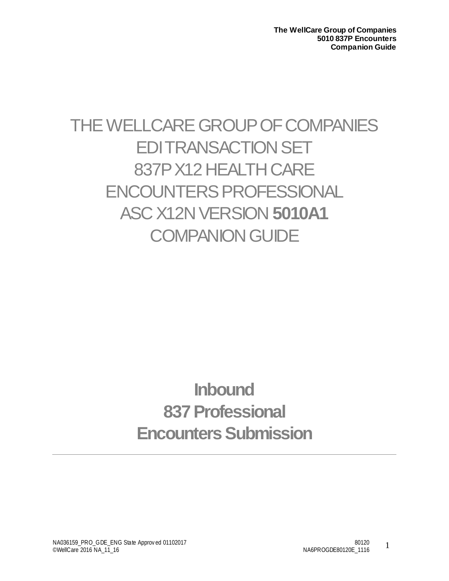# THE WELLCARE GROUP OF COMPANIES EDI TRANSACTION SET 837PX12HEALTH CARE ENCOUNTERS PROFESSIONAL ASC X12N VERSION **5010A1 COMPANION GUIDE**

# **Inbound 837Professional Encounters Submission**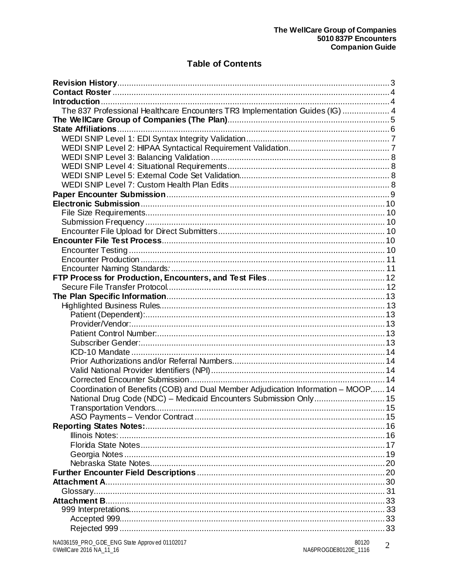## **Table of Contents**

| The 837 Professional Healthcare Encounters TR3 Implementation Guides (IG)  4      |  |
|-----------------------------------------------------------------------------------|--|
|                                                                                   |  |
|                                                                                   |  |
|                                                                                   |  |
|                                                                                   |  |
|                                                                                   |  |
|                                                                                   |  |
|                                                                                   |  |
|                                                                                   |  |
|                                                                                   |  |
|                                                                                   |  |
|                                                                                   |  |
|                                                                                   |  |
|                                                                                   |  |
|                                                                                   |  |
|                                                                                   |  |
|                                                                                   |  |
|                                                                                   |  |
|                                                                                   |  |
|                                                                                   |  |
|                                                                                   |  |
|                                                                                   |  |
|                                                                                   |  |
|                                                                                   |  |
|                                                                                   |  |
|                                                                                   |  |
|                                                                                   |  |
|                                                                                   |  |
|                                                                                   |  |
|                                                                                   |  |
| Coordination of Benefits (COB) and Dual Member Adjudication Information - MOOP 14 |  |
|                                                                                   |  |
|                                                                                   |  |
|                                                                                   |  |
|                                                                                   |  |
|                                                                                   |  |
|                                                                                   |  |
|                                                                                   |  |
|                                                                                   |  |
|                                                                                   |  |
|                                                                                   |  |
|                                                                                   |  |
|                                                                                   |  |
|                                                                                   |  |
|                                                                                   |  |
|                                                                                   |  |
|                                                                                   |  |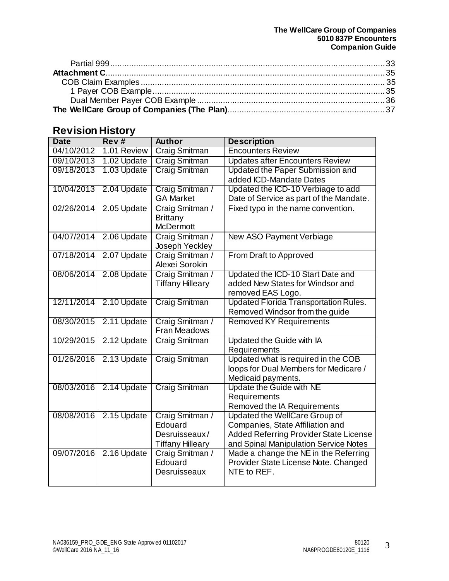# <span id="page-2-0"></span>**Revision History**

| <b>Date</b> | Rev#        | <b>Author</b>                      | <b>Description</b>                            |  |  |
|-------------|-------------|------------------------------------|-----------------------------------------------|--|--|
| 04/10/2012  | 1.01 Review | <b>Craig Smitman</b>               | <b>Encounters Review</b>                      |  |  |
| 09/10/2013  | 1.02 Update | <b>Craig Smitman</b>               | <b>Updates after Encounters Review</b>        |  |  |
| 09/18/2013  | 1.03 Update | Craig Smitman                      | Updated the Paper Submission and              |  |  |
|             |             |                                    | added ICD-Mandate Dates                       |  |  |
| 10/04/2013  | 2.04 Update | Craig Smitman /                    | Updated the ICD-10 Verbiage to add            |  |  |
|             |             | <b>GA Market</b>                   | Date of Service as part of the Mandate.       |  |  |
| 02/26/2014  | 2.05 Update | Craig Smitman /<br><b>Brittany</b> | Fixed typo in the name convention.            |  |  |
|             |             | <b>McDermott</b>                   |                                               |  |  |
| 04/07/2014  | 2.06 Update | Craig Smitman /                    | New ASO Payment Verbiage                      |  |  |
|             |             | Joseph Yeckley                     |                                               |  |  |
| 07/18/2014  | 2.07 Update | Craig Smitman /                    | From Draft to Approved                        |  |  |
|             |             | Alexei Sorokin                     |                                               |  |  |
| 08/06/2014  | 2.08 Update | Craig Smitman /                    | Updated the ICD-10 Start Date and             |  |  |
|             |             | <b>Tiffany Hilleary</b>            | added New States for Windsor and              |  |  |
|             |             |                                    | removed EAS Logo.                             |  |  |
| 12/11/2014  | 2.10 Update | Craig Smitman                      | <b>Updated Florida Transportation Rules.</b>  |  |  |
|             |             |                                    | Removed Windsor from the guide                |  |  |
| 08/30/2015  | 2.11 Update | Craig Smitman /                    | <b>Removed KY Requirements</b>                |  |  |
| 10/29/2015  |             | Fran Meadows                       |                                               |  |  |
|             | 2.12 Update | <b>Craig Smitman</b>               | Updated the Guide with IA<br>Requirements     |  |  |
| 01/26/2016  | 2.13 Update | <b>Craig Smitman</b>               | Updated what is required in the COB           |  |  |
|             |             |                                    | loops for Dual Members for Medicare /         |  |  |
|             |             |                                    | Medicaid payments.                            |  |  |
| 08/03/2016  | 2.14 Update | <b>Craig Smitman</b>               | Update the Guide with NE                      |  |  |
|             |             |                                    | Requirements                                  |  |  |
|             |             |                                    | Removed the IA Requirements                   |  |  |
| 08/08/2016  | 2.15 Update | Craig Smitman /                    | <b>Updated the WellCare Group of</b>          |  |  |
|             |             | Edouard                            | Companies, State Affiliation and              |  |  |
|             |             | Desruisseaux/                      | <b>Added Referring Provider State License</b> |  |  |
|             |             | <b>Tiffany Hilleary</b>            | and Spinal Manipulation Service Notes         |  |  |
| 09/07/2016  | 2.16 Update | Craig Smitman /                    | Made a change the NE in the Referring         |  |  |
|             |             | Edouard                            | Provider State License Note. Changed          |  |  |
|             |             | Desruisseaux                       | NTE to REF.                                   |  |  |
|             |             |                                    |                                               |  |  |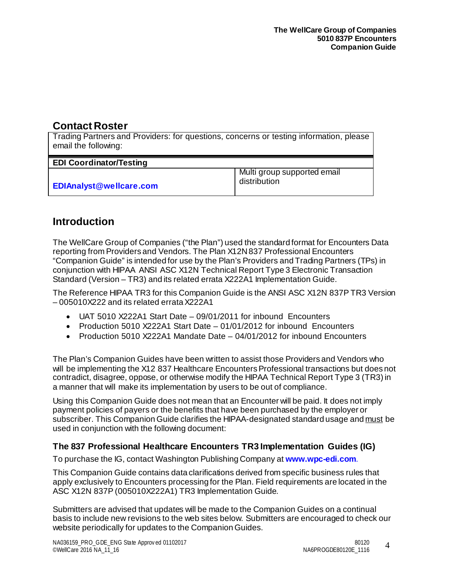# <span id="page-3-0"></span>**Contact Roster**

Trading Partners and Providers: for questions, concerns or testing information, please email the following:

| <b>EDI Coordinator/Testing</b> |                                             |
|--------------------------------|---------------------------------------------|
| <b>EDIAnalyst@wellcare.com</b> | Multi group supported email<br>distribution |

# <span id="page-3-1"></span>**Introduction**

The WellCare Group of Companies ("the Plan") used the standard format for Encounters Data reporting from Providers and Vendors. The Plan X12N 837 Professional Encounters "Companion Guide" is intended for use by the Plan's Providers and Trading Partners (TPs) in conjunction with HIPAA ANSI ASC X12N Technical Report Type 3 Electronic Transaction Standard (Version – TR3) and its related errata X222A1 Implementation Guide.

The Reference HIPAA TR3 for this Companion Guide is the ANSI ASC X12N 837P TR3 Version – 005010X222 and its related errata X222A1

- UAT 5010 X222A1 Start Date 09/01/2011 for inbound Encounters
- Production 5010 X222A1 Start Date 01/01/2012 for inbound Encounters
- Production 5010 X222A1 Mandate Date 04/01/2012 for inbound Encounters

The Plan's Companion Guides have been written to assist those Providers and Vendors who will be implementing the X12 837 Healthcare Encounters Professional transactions but does not contradict, disagree, oppose, or otherwise modify the HIPAA Technical Report Type 3 (TR3) in a manner that will make its implementation by users to be out of compliance.

Using this Companion Guide does not mean that an Encounter will be paid. It does not imply payment policies of payers or the benefits that have been purchased by the employer or subscriber. This Companion Guide clarifies the HIPAA-designated standard usage and must be used in conjunction with the following document:

## <span id="page-3-2"></span>**The 837 Professional Healthcare Encounters TR3 Implementation Guides (IG)**

To purchase the IG, contact Washington Publishing Company at **www.wpc-edi.com**.

This Companion Guide contains data clarifications derived from specific business rules that apply exclusively to Encounters processing for the Plan. Field requirements are located in the ASC X12N 837P (005010X222A1) TR3 Implementation Guide.

Submitters are advised that updates will be made to the Companion Guides on a continual basis to include new revisions to the web sites below. Submitters are encouraged to check our website periodically for updates to the Companion Guides.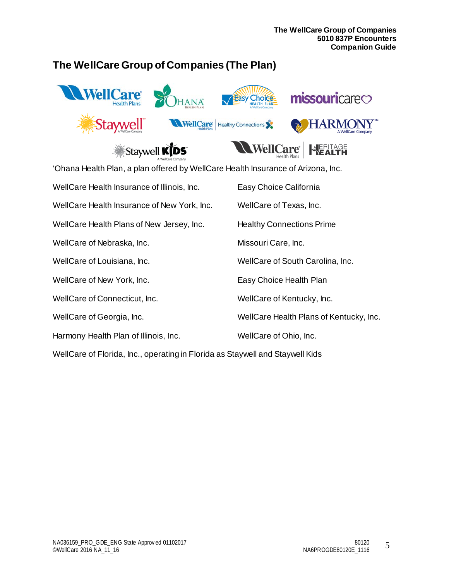# <span id="page-4-0"></span>**The WellCare Group of Companies (The Plan)**



'Ohana Health Plan, a plan offered by WellCare Health Insurance of Arizona, Inc.

| WellCare Health Insurance of Illinois, Inc. | Easy Choice California                  |
|---------------------------------------------|-----------------------------------------|
| WellCare Health Insurance of New York, Inc. | WellCare of Texas, Inc.                 |
| WellCare Health Plans of New Jersey, Inc.   | <b>Healthy Connections Prime</b>        |
| WellCare of Nebraska, Inc.                  | Missouri Care, Inc.                     |
| WellCare of Louisiana, Inc.                 | WellCare of South Carolina, Inc.        |
| WellCare of New York, Inc.                  | Easy Choice Health Plan                 |
| WellCare of Connecticut, Inc.               | WellCare of Kentucky, Inc.              |
| WellCare of Georgia, Inc.                   | WellCare Health Plans of Kentucky, Inc. |
| Harmony Health Plan of Illinois, Inc.       | WellCare of Ohio, Inc.                  |

WellCare of Florida, Inc., operating in Florida as Staywell and Staywell Kids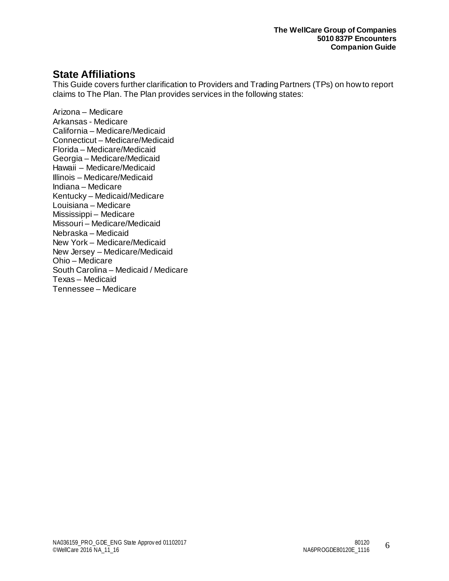# <span id="page-5-0"></span>**State Affiliations**

This Guide covers further clarification to Providers and Trading Partners (TPs) on how to report claims to The Plan. The Plan provides services in the following states:

Arizona – Medicare Arkansas - Medicare California – Medicare/Medicaid Connecticut – Medicare/Medicaid Florida – Medicare/Medicaid Georgia – Medicare/Medicaid Hawaii – Medicare/Medicaid Illinois – Medicare/Medicaid Indiana – Medicare Kentucky – Medicaid/Medicare Louisiana – Medicare Mississippi – Medicare Missouri – Medicare/Medicaid Nebraska – Medicaid New York – Medicare/Medicaid New Jersey – Medicare/Medicaid Ohio – Medicare South Carolina – Medicaid / Medicare Texas – Medicaid Tennessee – Medicare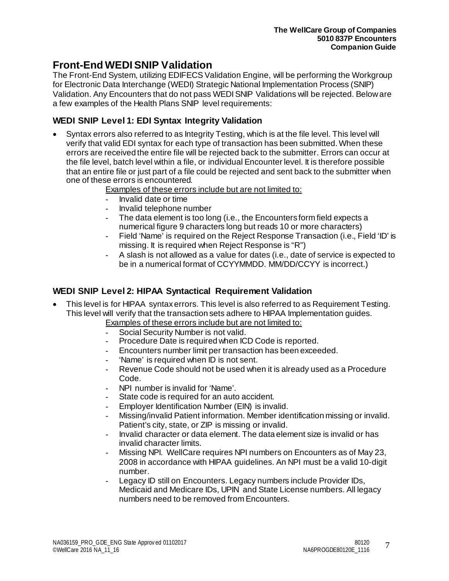# **Front-End WEDI SNIP Validation**

The Front-End System, utilizing EDIFECS Validation Engine, will be performing the Workgroup for Electronic Data Interchange (WEDI) Strategic National Implementation Process (SNIP) Validation. Any Encounters that do not pass WEDI SNIP Validations will be rejected. Below are a few examples of the Health Plans SNIP level requirements:

## <span id="page-6-0"></span>**WEDI SNIP Level 1: EDI Syntax Integrity Validation**

- Syntax errors also referred to as Integrity Testing, which is at the file level. This level will verify that valid EDI syntax for each type of transaction has been submitted. When these errors are received the entire file will be rejected back to the submitter. Errors can occur at the file level, batch level within a file, or individual Encounter level. It is therefore possible that an entire file or just part of a file could be rejected and sent back to the submitter when one of these errors is encountered.
	- Examples of these errors include but are not limited to:
	- Invalid date or time
	- Invalid telephone number
	- The data element is too long (i.e., the Encounters form field expects a numerical figure 9 characters long but reads 10 or more characters)
	- Field 'Name' is required on the Reject Response Transaction (i.e., Field 'ID' is missing. It is required when Reject Response is "R")
	- A slash is not allowed as a value for dates (i.e., date of service is expected to be in a numerical format of CCYYMMDD. MM/DD/CCYY is incorrect.)

## <span id="page-6-1"></span>**WEDI SNIP Level 2: HIPAA Syntactical Requirement Validation**

- This level is for HIPAA syntax errors. This level is also referred to as Requirement Testing. This level will verify that the transaction sets adhere to HIPAA Implementation guides. Examples of these errors include but are not limited to:
	- Social Security Number is not valid.
	- Procedure Date is required when ICD Code is reported.
	- Encounters number limit per transaction has been exceeded.
	- 'Name' is required when ID is not sent.
	- Revenue Code should not be used when it is already used as a Procedure Code.
	- NPI number is invalid for 'Name'.
	- State code is required for an auto accident.
	- Employer Identification Number (EIN) is invalid.
	- Missing/invalid Patient information. Member identification missing or invalid. Patient's city, state, or ZIP is missing or invalid.
	- Invalid character or data element. The data element size is invalid or has invalid character limits.
	- Missing NPI. WellCare requires NPI numbers on Encounters as of May 23, 2008 in accordance with HIPAA guidelines. An NPI must be a valid 10-digit number.
	- Legacy ID still on Encounters. Legacy numbers include Provider IDs, Medicaid and Medicare IDs, UPIN and State License numbers. All legacy numbers need to be removed from Encounters.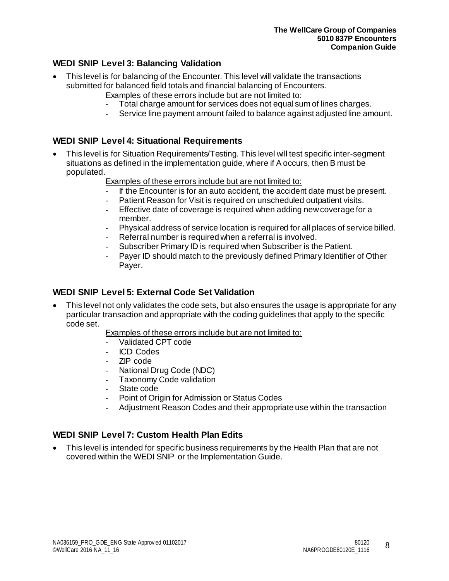## <span id="page-7-0"></span>**WEDI SNIP Level 3: Balancing Validation**

- This level is for balancing of the Encounter. This level will validate the transactions submitted for balanced field totals and financial balancing of Encounters.
	- Examples of these errors include but are not limited to:
		- Total charge amount for services does not equal sum of lines charges.
	- Service line payment amount failed to balance against adjusted line amount.

## <span id="page-7-1"></span>**WEDI SNIP Level 4: Situational Requirements**

- This level is for Situation Requirements/Testing. This level will test specific inter-segment situations as defined in the implementation guide, where if A occurs, then B must be populated.
	- Examples of these errors include but are not limited to:
	- If the Encounter is for an auto accident, the accident date must be present.
	- Patient Reason for Visit is required on unscheduled outpatient visits.
	- Effective date of coverage is required when adding new coverage for a member.
	- Physical address of service location is required for all places of service billed.
	- Referral number is required when a referral is involved.
	- Subscriber Primary ID is required when Subscriber is the Patient.
	- Payer ID should match to the previously defined Primary Identifier of Other Payer.

## <span id="page-7-2"></span>**WEDI SNIP Level 5: External Code Set Validation**

- This level not only validates the code sets, but also ensures the usage is appropriate for any particular transaction and appropriate with the coding guidelines that apply to the specific code set.
	- Examples of these errors include but are not limited to:
	- Validated CPT code
	- ICD Codes
	- ZIP code
	- National Drug Code (NDC)
	- Taxonomy Code validation
	- State code
	- Point of Origin for Admission or Status Codes
	- Adjustment Reason Codes and their appropriate use within the transaction

### <span id="page-7-3"></span>**WEDI SNIP Level 7: Custom Health Plan Edits**

• This level is intended for specific business requirements by the Health Plan that are not covered within the WEDI SNIP or the Implementation Guide.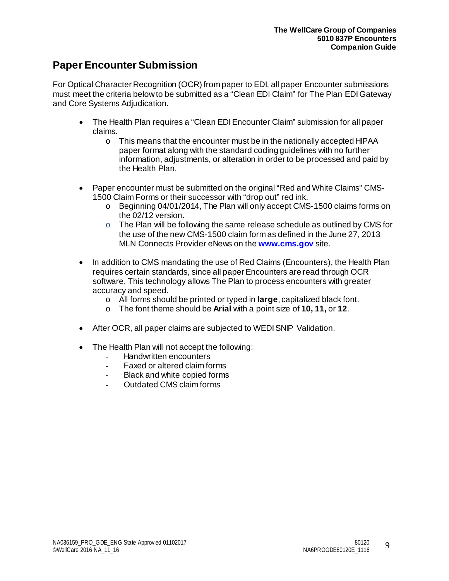# <span id="page-8-0"></span>**Paper Encounter Submission**

For Optical Character Recognition (OCR) from paper to EDI, all paper Encounter submissions must meet the criteria below to be submitted as a "Clean EDI Claim" for The Plan EDI Gateway and Core Systems Adjudication.

- The Health Plan requires a "Clean EDI Encounter Claim" submission for all paper claims.
	- o This means that the encounter must be in the nationally accepted HIPAA paper format along with the standard coding guidelines with no further information, adjustments, or alteration in order to be processed and paid by the Health Plan.
- Paper encounter must be submitted on the original "Red and White Claims" CMS-1500 Claim Forms or their successor with "drop out" red ink.
	- o Beginning 04/01/2014, The Plan will only accept CMS-1500 claims forms on the 02/12 version.
	- o The Plan will be following the same release schedule as outlined by CMS for the use of the new CMS-1500 claim form as defined in the June 27, 2013 MLN Connects Provider eNews on the **[www.cms.gov](http://www.cms.gov/)** site.
- In addition to CMS mandating the use of Red Claims (Encounters), the Health Plan requires certain standards, since all paper Encounters are read through OCR software. This technology allows The Plan to process encounters with greater accuracy and speed.
	- o All forms should be printed or typed in **large**, capitalized black font.
	- o The font theme should be **Arial** with a point size of **10, 11,** or **12**.
- After OCR, all paper claims are subjected to WEDI SNIP Validation.
- The Health Plan will not accept the following:
	- Handwritten encounters
	- Faxed or altered claim forms
	- Black and white copied forms
	- Outdated CMS claim forms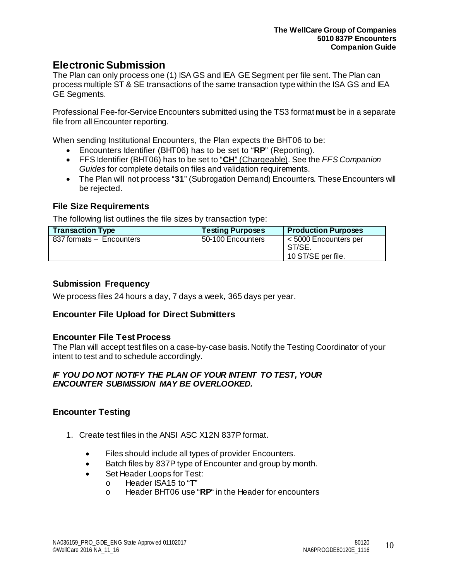# <span id="page-9-0"></span>**Electronic Submission**

The Plan can only process one (1) ISA GS and IEA GE Segment per file sent. The Plan can process multiple ST & SE transactions of the same transaction type within the ISA GS and IEA GE Segments.

Professional Fee-for-ServiceEncounters submitted using the TS3 format **must** be in a separate file from all Encounter reporting.

When sending Institutional Encounters, the Plan expects the BHT06 to be:

- Encounters Identifier (BHT06) has to be set to "**RP**" (Reporting).
- FFS Identifier (BHT06) has to be set to "**CH**" (Chargeable). See the *FFS Companion Guides* for complete details on files and validation requirements.
- The Plan will not process "**31**" (Subrogation Demand) Encounters. These Encounters will be rejected.

#### <span id="page-9-1"></span>**File Size Requirements**

The following list outlines the file sizes by transaction type:

| <b>Transaction Type</b>  | <b>Testing Purposes</b> | <b>Production Purposes</b>                            |
|--------------------------|-------------------------|-------------------------------------------------------|
| 837 formats - Encounters | 50-100 Encounters       | < 5000 Encounters per<br>ST/SE.<br>10 ST/SE per file. |

#### <span id="page-9-2"></span>**Submission Frequency**

We process files 24 hours a day, 7 days a week, 365 days per year.

#### <span id="page-9-3"></span>**Encounter File Upload for Direct Submitters**

#### <span id="page-9-4"></span>**Encounter File Test Process**

The Plan will accept test files on a case-by-case basis. Notify the Testing Coordinator of your intent to test and to schedule accordingly.

#### *IF YOU DO NOT NOTIFY THE PLAN OF YOUR INTENT TO TEST, YOUR ENCOUNTER SUBMISSION MAY BE OVERLOOKED.*

### <span id="page-9-5"></span>**Encounter Testing**

- 1. Create test files in the ANSI ASC X12N 837P format.
	- Files should include all types of provider Encounters.
	- Batch files by 837P type of Encounter and group by month.
	- Set Header Loops for Test:
		- o Header ISA15 to "**T**"
		- Header BHT06 use "RP" in the Header for encounters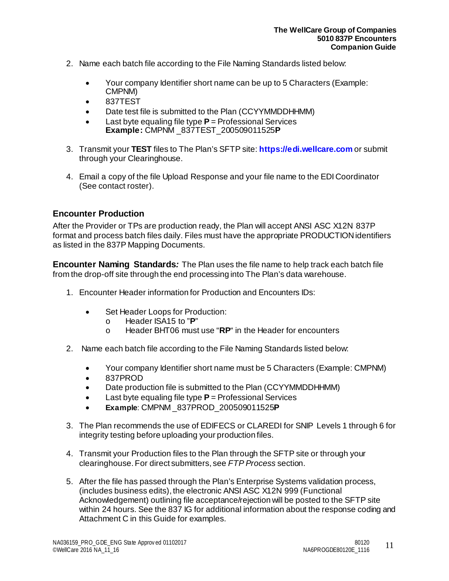- 2. Name each batch file according to the File Naming Standards listed below:
	- Your company Identifier short name can be up to 5 Characters (Example: CMPNM)
	- 837TEST
	- Date test file is submitted to the Plan (CCYYMMDDHHMM)
	- Last byte equaling file type **P** = Professional Services **Example:** CMPNM \_837TEST\_200509011525**P**
- 3. Transmit your **TEST** files to The Plan's SFTP site: **[https://edi.wellcare.com](https://edi.wellcare.com/)** or submit through your Clearinghouse.
- 4. Email a copy of the file Upload Response and your file name to the EDI Coordinator (See contact roster).

## <span id="page-10-0"></span>**Encounter Production**

After the Provider or TPs are production ready, the Plan will accept ANSI ASC X12N 837P format and process batch files daily. Files must have the appropriate PRODUCTION identifiers as listed in the 837P Mapping Documents.

<span id="page-10-1"></span>**Encounter Naming Standards***:* The Plan uses the file name to help track each batch file from the drop-off site through the end processing into The Plan's data warehouse.

- 1. Encounter Header information for Production and Encounters IDs:
	- Set Header Loops for Production:
		- o Header ISA15 to "**P**"
		- o Header BHT06 must use "**RP**" in the Header for encounters
- 2. Name each batch file according to the File Naming Standards listed below:
	- Your company Identifier short name must be 5 Characters (Example: CMPNM)
	- 837PROD
	- Date production file is submitted to the Plan (CCYYMMDDHHMM)
	- Last byte equaling file type **P** = Professional Services
	- **Example**: CMPNM \_837PROD\_200509011525**P**
- 3. The Plan recommends the use of EDIFECS or CLAREDI for SNIP Levels 1 through 6 for integrity testing before uploading your production files.
- 4. Transmit your Production files to the Plan through the SFTP site or through your clearinghouse. For direct submitters, see *FTP Process* section.
- 5. After the file has passed through the Plan's Enterprise Systems validation process, (includes business edits), the electronic ANSI ASC X12N 999 (Functional Acknowledgement) outlining file acceptance/rejection will be posted to the SFTP site within 24 hours. See the 837 IG for additional information about the response coding and Attachment C in this Guide for examples.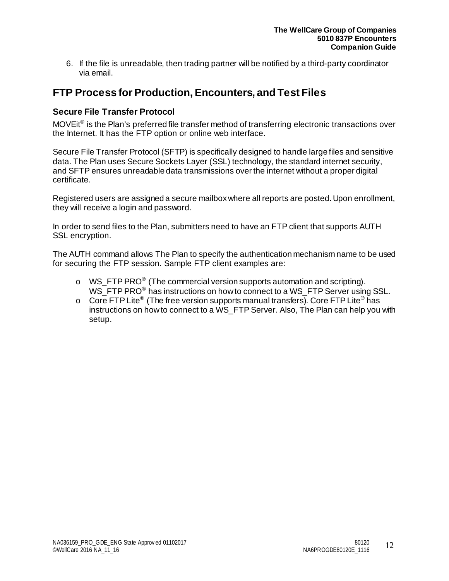6. If the file is unreadable, then trading partner will be notified by a third-party coordinator via email.

# <span id="page-11-0"></span>**FTP Process for Production, Encounters, and Test Files**

## <span id="page-11-1"></span>**Secure File Transfer Protocol**

MOVEit<sup>®</sup> is the Plan's preferred file transfer method of transferring electronic transactions over the Internet. It has the FTP option or online web interface.

Secure File Transfer Protocol (SFTP) is specifically designed to handle large files and sensitive data. The Plan uses Secure Sockets Layer (SSL) technology, the standard internet security, and SFTP ensures unreadable data transmissions over the internet without a proper digital certificate.

Registered users are assigned a secure mailbox where all reports are posted. Upon enrollment, they will receive a login and password.

In order to send files to the Plan, submitters need to have an FTP client that supports AUTH SSL encryption.

The AUTH command allows The Plan to specify the authentication mechanism name to be used for securing the FTP session. Sample FTP client examples are:

- o WS\_FTP PRO® (The commercial version supports automation and scripting). WS\_FTP PRO<sup>®</sup> has instructions on how to connect to a WS\_FTP Server using SSL.
- $\circ$  Core FTP Lite<sup>®</sup> (The free version supports manual transfers). Core FTP Lite<sup>®</sup> has instructions on how to connect to a WS\_FTP Server. Also, The Plan can help you with setup.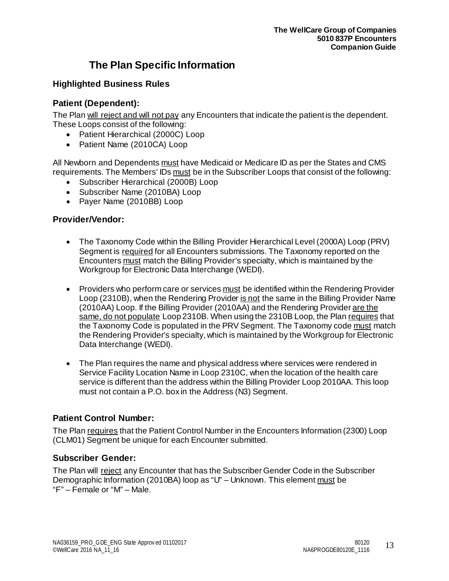# **The Plan Specific Information**

## <span id="page-12-1"></span><span id="page-12-0"></span>**Highlighted Business Rules**

## <span id="page-12-2"></span>**Patient (Dependent):**

The Plan will reject and will not pay any Encounters that indicate the patient is the dependent. These Loops consist of the following:

- Patient Hierarchical (2000C) Loop
- Patient Name (2010CA) Loop

All Newborn and Dependents must have Medicaid or Medicare ID as per the States and CMS requirements. The Members' IDs must be in the Subscriber Loops that consist of the following:

- Subscriber Hierarchical (2000B) Loop
- Subscriber Name (2010BA) Loop
- Payer Name (2010BB) Loop

### <span id="page-12-3"></span>**Provider/Vendor:**

- The Taxonomy Code within the Billing Provider Hierarchical Level (2000A) Loop (PRV) Segment is required for all Encounters submissions. The Taxonomy reported on the Encounters must match the Billing Provider's specialty, which is maintained by the Workgroup for Electronic Data Interchange (WEDI).
- Providers who perform care or services must be identified within the Rendering Provider Loop (2310B), when the Rendering Provider is not the same in the Billing Provider Name (2010AA) Loop. If the Billing Provider (2010AA) and the Rendering Provider are the same, do not populate Loop 2310B. When using the 2310B Loop, the Plan requires that the Taxonomy Code is populated in the PRV Segment. The Taxonomy code must match the Rendering Provider's specialty, which is maintained by the Workgroup for Electronic Data Interchange (WEDI).
- The Plan requires the name and physical address where services were rendered in Service Facility Location Name in Loop 2310C, when the location of the health care service is different than the address within the Billing Provider Loop 2010AA. This loop must not contain a P.O. box in the Address (N3) Segment.

### <span id="page-12-4"></span>**Patient Control Number:**

The Plan requires that the Patient Control Number in the Encounters Information (2300) Loop (CLM01) Segment be unique for each Encounter submitted.

### <span id="page-12-5"></span>**Subscriber Gender:**

The Plan will reject any Encounter that has the Subscriber Gender Code in the Subscriber Demographic Information (2010BA) loop as "U" – Unknown. This element must be "F" – Female or "M" – Male.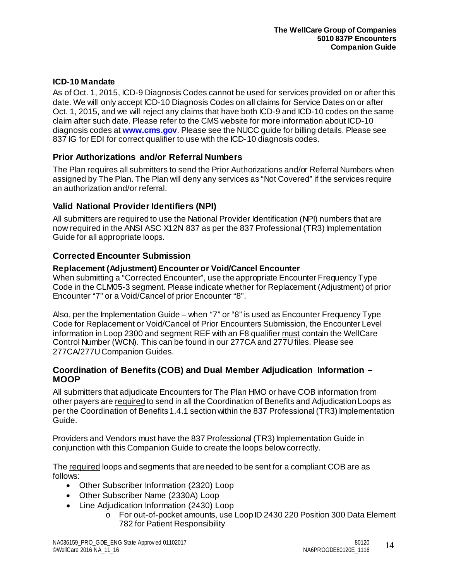#### <span id="page-13-0"></span>**ICD-10 Mandate**

As of Oct. 1, 2015, ICD-9 Diagnosis Codes cannot be used for services provided on or after this date. We will only accept ICD-10 Diagnosis Codes on all claims for Service Dates on or after Oct. 1, 2015, and we will reject any claims that have both ICD-9 and ICD-10 codes on the same claim after such date. Please refer to the CMS website for more information about ICD-10 diagnosis codes at **[www.cms.gov](http://www.cms.gov/)**. Please see the NUCC guide for billing details. Please see 837 IG for EDI for correct qualifier to use with the ICD-10 diagnosis codes.

### <span id="page-13-1"></span>**Prior Authorizations and/or Referral Numbers**

The Plan requires all submitters to send the Prior Authorizations and/or Referral Numbers when assigned by The Plan. The Plan will deny any services as "Not Covered" if the services require an authorization and/or referral.

#### <span id="page-13-2"></span>**Valid National Provider Identifiers (NPI)**

All submitters are required to use the National Provider Identification (NPI) numbers that are now required in the ANSI ASC X12N 837 as per the 837 Professional (TR3) Implementation Guide for all appropriate loops.

#### <span id="page-13-3"></span>**Corrected Encounter Submission**

#### **Replacement (Adjustment) Encounter or Void/Cancel Encounter**

When submitting a "Corrected Encounter", use the appropriate Encounter Frequency Type Code in the CLM05-3 segment. Please indicate whether for Replacement (Adjustment) of prior Encounter "7" or a Void/Cancel of prior Encounter "8".

Also, per the Implementation Guide – when "7" or "8" is used as Encounter Frequency Type Code for Replacement or Void/Cancel of Prior Encounters Submission, the Encounter Level information in Loop 2300 and segment REF with an F8 qualifier must contain the WellCare Control Number (WCN). This can be found in our 277CA and 277U files. Please see 277CA/277U Companion Guides.

#### <span id="page-13-4"></span>**Coordination of Benefits (COB) and Dual Member Adjudication Information – MOOP**

All submitters that adjudicate Encounters for The Plan HMO or have COB information from other payers are required to send in all the Coordination of Benefits and Adjudication Loops as per the Coordination of Benefits 1.4.1 section within the 837 Professional (TR3) Implementation Guide.

Providers and Vendors must have the 837 Professional (TR3) Implementation Guide in conjunction with this Companion Guide to create the loops below correctly.

The required loops and segments that are needed to be sent for a compliant COB are as follows:

- Other Subscriber Information (2320) Loop
- Other Subscriber Name (2330A) Loop
- Line Adjudication Information (2430) Loop
	- o For out-of-pocket amounts, use Loop ID 2430 220 Position 300 Data Element 782 for Patient Responsibility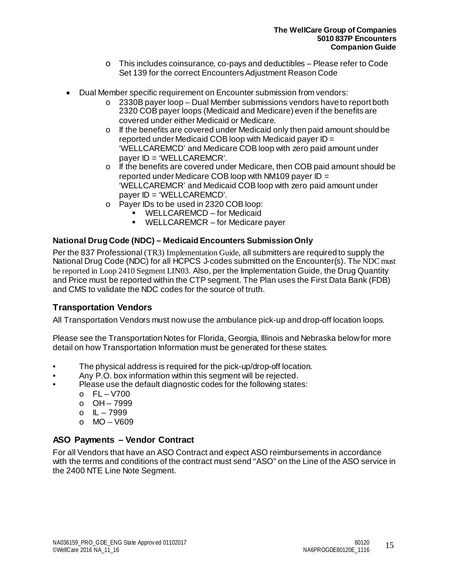- o This includes coinsurance, co-pays and deductibles Please refer to Code Set 139 for the correct Encounters Adjustment Reason Code
- Dual Member specific requirement on Encounter submission from vendors:
	- $\circ$  2330B payer loop Dual Member submissions vendors have to report both 2320 COB payer loops (Medicaid and Medicare) even if the benefits are covered under either Medicaid or Medicare.
	- o If the benefits are covered under Medicaid only then paid amount should be reported under Medicaid COB loop with Medicaid payer ID = 'WELLCAREMCD' and Medicare COB loop with zero paid amount under payer ID = 'WELLCAREMCR'.
	- $\circ$  If the benefits are covered under Medicare, then COB paid amount should be reported under Medicare COB loop with NM109 payer  $ID =$ 'WELLCAREMCR' and Medicaid COB loop with zero paid amount under payer ID = 'WELLCAREMCD'.
	- o Payer IDs to be used in 2320 COB loop:
		- WELLCAREMCD for Medicaid
		- WELLCAREMCR for Medicare payer

### <span id="page-14-0"></span>**National Drug Code (NDC) – Medicaid Encounters Submission Only**

Per the 837 Professional (TR3) Implementation Guide, all submitters are required to supply the National Drug Code (NDC) for all HCPCS J-codes submitted on the Encounter(s). The NDC must be reported in Loop 2410 Segment LIN03. Also, per the Implementation Guide, the Drug Quantity and Price must be reported within the CTP segment. The Plan uses the First Data Bank (FDB) and CMS to validate the NDC codes for the source of truth.

## <span id="page-14-1"></span>**Transportation Vendors**

All Transportation Vendors must now use the ambulance pick-up and drop-off location loops.

Please see the Transportation Notes for Florida, Georgia, Illinois and Nebraska belowfor more detail on how Transportation Information must be generated for these states.

- The physical address is required for the pick-up/drop-off location.
- Any P.O. box information within this segment will be rejected.
	- Please use the default diagnostic codes for the following states:
		- $O$  FL V700
		- o OH 7999
		- o IL 7999
		- $O$  MO V609

## <span id="page-14-2"></span>**ASO Payments – Vendor Contract**

For all Vendors that have an ASO Contract and expect ASO reimbursements in accordance with the terms and conditions of the contract must send "ASO" on the Line of the ASO service in the 2400 NTE Line Note Segment.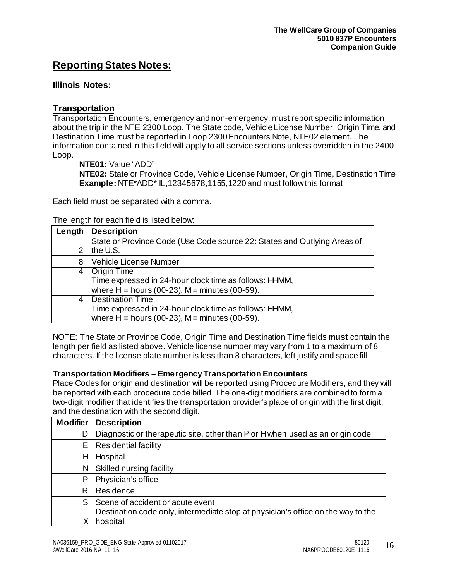# <span id="page-15-0"></span>**Reporting States Notes:**

### <span id="page-15-1"></span>**Illinois Notes:**

#### **Transportation**

Transportation Encounters, emergency and non-emergency, must report specific information about the trip in the NTE 2300 Loop. The State code, Vehicle License Number, Origin Time, and Destination Time must be reported in Loop 2300 Encounters Note, NTE02 element. The information contained in this field will apply to all service sections unless overridden in the 2400 Loop.

**NTE01:** Value "ADD"

**NTE02:** State or Province Code, Vehicle License Number, Origin Time, Destination Time **Example:** NTE\*ADD\* IL,12345678,1155,1220 and must follow this format

Each field must be separated with a comma.

#### The length for each field is listed below:

| Length | <b>Description</b>                                                                   |
|--------|--------------------------------------------------------------------------------------|
| 2      | State or Province Code (Use Code source 22: States and Outlying Areas of<br>the U.S. |
| 8      | Vehicle License Number                                                               |
| 4      | <b>Origin Time</b>                                                                   |
|        | Time expressed in 24-hour clock time as follows: HHMM,                               |
|        | where $H =$ hours (00-23), $M =$ minutes (00-59).                                    |
| 4      | <b>Destination Time</b>                                                              |
|        | Time expressed in 24-hour clock time as follows: HHMM,                               |
|        | where $H =$ hours (00-23), $M =$ minutes (00-59).                                    |

NOTE: The State or Province Code, Origin Time and Destination Time fields **must** contain the length per field as listed above. Vehicle license number may vary from 1 to a maximum of 8 characters. If the license plate number is less than 8 characters, left justify and space fill.

#### **Transportation Modifiers – Emergency Transportation Encounters**

Place Codes for origin and destination will be reported using Procedure Modifiers, and they will be reported with each procedure code billed. The one-digit modifiers are combined to form a two-digit modifier that identifies the transportation provider's place of origin with the first digit, and the destination with the second digit.

| <b>Modifier</b> | <b>Description</b>                                                               |
|-----------------|----------------------------------------------------------------------------------|
| D               | Diagnostic or therapeutic site, other than P or H when used as an origin code    |
| Ε               | <b>Residential facility</b>                                                      |
| н               | Hospital                                                                         |
| N               | Skilled nursing facility                                                         |
| P               | Physician's office                                                               |
| R               | Residence                                                                        |
| S               | Scene of accident or acute event                                                 |
|                 | Destination code only, intermediate stop at physician's office on the way to the |
|                 | hospital                                                                         |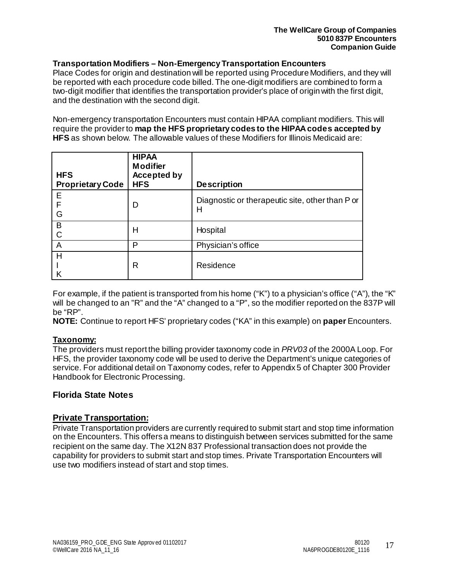#### **Transportation Modifiers – Non-Emergency Transportation Encounters**

Place Codes for origin and destination will be reported using Procedure Modifiers, and they will be reported with each procedure code billed. The one-digit modifiers are combined to form a two-digit modifier that identifies the transportation provider's place of origin with the first digit, and the destination with the second digit.

Non-emergency transportation Encounters must contain HIPAA compliant modifiers. This will require the provider to **map the HFS proprietary codes to the HIPAA codes accepted by HFS** as shown below. The allowable values of these Modifiers for Illinois Medicaid are:

| <b>HFS</b><br><b>Proprietary Code</b> | <b>HIPAA</b><br><b>Modifier</b><br><b>Accepted by</b><br><b>HFS</b> | <b>Description</b>                                   |
|---------------------------------------|---------------------------------------------------------------------|------------------------------------------------------|
| Е<br>F<br>G                           | D                                                                   | Diagnostic or therapeutic site, other than P or<br>Н |
| B                                     | Н                                                                   | Hospital                                             |
| A                                     | P                                                                   | Physician's office                                   |
| H                                     | R                                                                   | Residence                                            |

For example, if the patient is transported from his home ("K") to a physician's office ("A"), the "K" will be changed to an "R" and the "A" changed to a "P", so the modifier reported on the 837P will be "RP".

**NOTE:** Continue to report HFS' proprietary codes ("KA" in this example) on **paper** Encounters.

#### **Taxonomy:**

The providers must report the billing provider taxonomy code in *PRV03 o*f the 2000A Loop. For HFS, the provider taxonomy code will be used to derive the Department's unique categories of service. For additional detail on Taxonomy codes, refer to Appendix 5 of Chapter 300 Provider Handbook for Electronic Processing.

#### <span id="page-16-0"></span>**Florida State Notes**

#### **Private Transportation:**

Private Transportation providers are currently required to submit start and stop time information on the Encounters. This offers a means to distinguish between services submitted for the same recipient on the same day. The X12N 837 Professional transaction does not provide the capability for providers to submit start and stop times. Private Transportation Encounters will use two modifiers instead of start and stop times.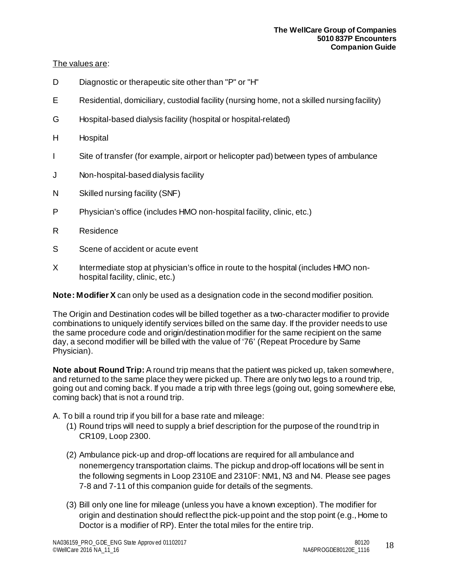#### The values are:

- D Diagnostic or therapeutic site other than "P" or "H"
- E Residential, domiciliary, custodial facility (nursing home, not a skilled nursing facility)
- G Hospital-based dialysis facility (hospital or hospital-related)
- H Hospital
- I Site of transfer (for example, airport or helicopter pad) between types of ambulance
- J Non-hospital-based dialysis facility
- N Skilled nursing facility (SNF)
- P Physician's office (includes HMO non-hospital facility, clinic, etc.)
- R Residence
- S Scene of accident or acute event
- X Intermediate stop at physician's office in route to the hospital (includes HMO nonhospital facility, clinic, etc.)

**Note: Modifier X** can only be used as a designation code in the second modifier position.

The Origin and Destination codes will be billed together as a two-character modifier to provide combinations to uniquely identify services billed on the same day. If the provider needs to use the same procedure code and origin/destination modifier for the same recipient on the same day, a second modifier will be billed with the value of '76' (Repeat Procedure by Same Physician).

**Note about Round Trip:** A round trip means that the patient was picked up, taken somewhere, and returned to the same place they were picked up. There are only two legs to a round trip, going out and coming back. If you made a trip with three legs (going out, going somewhere else, coming back) that is not a round trip.

A. To bill a round trip if you bill for a base rate and mileage:

- (1) Round trips will need to supply a brief description for the purpose of the round trip in CR109, Loop 2300.
- (2) Ambulance pick-up and drop-off locations are required for all ambulance and nonemergency transportation claims. The pickup and drop-off locations will be sent in the following segments in Loop 2310E and 2310F: NM1, N3 and N4. Please see pages 7-8 and 7-11 of this companion guide for details of the segments.
- (3) Bill only one line for mileage (unless you have a known exception). The modifier for origin and destination should reflect the pick-up point and the stop point (e.g., Home to Doctor is a modifier of RP). Enter the total miles for the entire trip.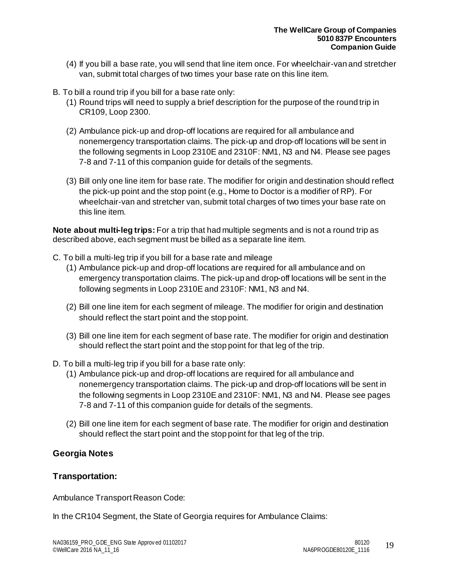- (4) If you bill a base rate, you will send that line item once. For wheelchair-van and stretcher van, submit total charges of two times your base rate on this line item.
- B. To bill a round trip if you bill for a base rate only:
	- (1) Round trips will need to supply a brief description for the purpose of the round trip in CR109, Loop 2300.
	- (2) Ambulance pick-up and drop-off locations are required for all ambulance and nonemergency transportation claims. The pick-up and drop-off locations will be sent in the following segments in Loop 2310E and 2310F: NM1, N3 and N4. Please see pages 7-8 and 7-11 of this companion guide for details of the segments.
	- (3) Bill only one line item for base rate. The modifier for origin and destination should reflect the pick-up point and the stop point (e.g., Home to Doctor is a modifier of RP). For wheelchair-van and stretcher van, submit total charges of two times your base rate on this line item.

**Note about multi-leg trips:** For a trip that had multiple segments and is not a round trip as described above, each segment must be billed as a separate line item.

- C. To bill a multi-leg trip if you bill for a base rate and mileage
	- (1) Ambulance pick-up and drop-off locations are required for all ambulance and on emergency transportation claims. The pick-up and drop-off locations will be sent in the following segments in Loop 2310E and 2310F: NM1, N3 and N4.
	- (2) Bill one line item for each segment of mileage. The modifier for origin and destination should reflect the start point and the stop point.
	- (3) Bill one line item for each segment of base rate. The modifier for origin and destination should reflect the start point and the stop point for that leg of the trip.
- D. To bill a multi-leg trip if you bill for a base rate only:
	- (1) Ambulance pick-up and drop-off locations are required for all ambulance and nonemergency transportation claims. The pick-up and drop-off locations will be sent in the following segments in Loop 2310E and 2310F: NM1, N3 and N4. Please see pages 7-8 and 7-11 of this companion guide for details of the segments.
	- (2) Bill one line item for each segment of base rate. The modifier for origin and destination should reflect the start point and the stop point for that leg of the trip.

### <span id="page-18-0"></span>**Georgia Notes**

### **Transportation:**

Ambulance Transport Reason Code:

In the CR104 Segment, the State of Georgia requires for Ambulance Claims: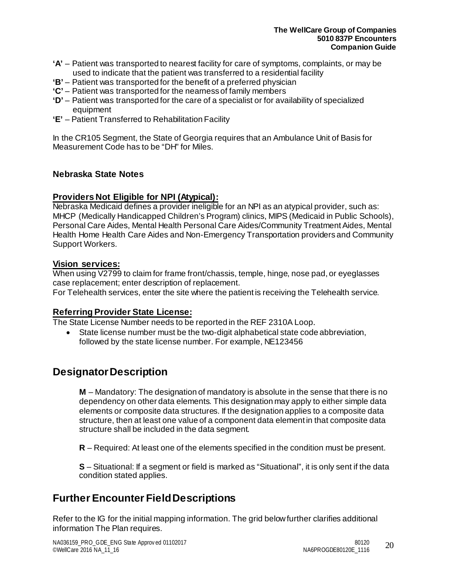- **'A'** Patient was transported to nearest facility for care of symptoms, complaints, or may be used to indicate that the patient was transferred to a residential facility
- **'B'** Patient was transported for the benefit of a preferred physician
- **'C'** Patient was transported for the nearness of family members
- **'D'** Patient was transported for the care of a specialist or for availability of specialized equipment
- **'E'** Patient Transferred to Rehabilitation Facility

In the CR105 Segment, the State of Georgia requires that an Ambulance Unit of Basis for Measurement Code has to be "DH" for Miles.

#### <span id="page-19-0"></span>**Nebraska State Notes**

#### **Providers Not Eligible for NPI (Atypical):**

Nebraska Medicaid defines a provider ineligible for an NPI as an atypical provider, such as: MHCP (Medically Handicapped Children's Program) clinics, MIPS (Medicaid in Public Schools), Personal Care Aides, Mental Health Personal Care Aides/Community Treatment Aides, Mental Health Home Health Care Aides and Non-Emergency Transportation providers and Community Support Workers.

#### **Vision services:**

When using V2799 to claim for frame front/chassis, temple, hinge, nose pad, or eyeglasses case replacement; enter description of replacement.

For Telehealth services, enter the site where the patient is receiving the Telehealth service.

#### **Referring Provider State License:**

The State License Number needs to be reported in the REF 2310A Loop.

• State license number must be the two-digit alphabetical state code abbreviation, followed by the state license number. For example, NE123456

## **Designator Description**

**M** – Mandatory: The designation of mandatory is absolute in the sense that there is no dependency on other data elements. This designation may apply to either simple data elements or composite data structures. If the designation applies to a composite data structure, then at least one value of a component data element in that composite data structure shall be included in the data segment.

**R** – Required: At least one of the elements specified in the condition must be present.

**S** – Situational: If a segment or field is marked as "Situational", it is only sent if the data condition stated applies.

# <span id="page-19-1"></span>**Further Encounter FieldDescriptions**

Refer to the IG for the initial mapping information. The grid below further clarifies additional information The Plan requires.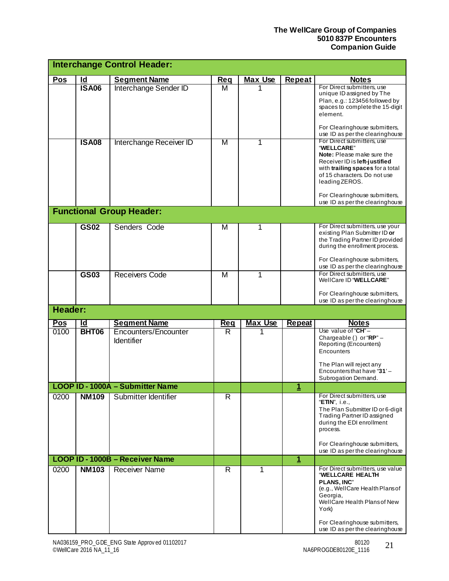|            |              | <b>Interchange Control Header:</b>     |            |                |                         |                                                                                                                                                                                                                                                                                                      |
|------------|--------------|----------------------------------------|------------|----------------|-------------------------|------------------------------------------------------------------------------------------------------------------------------------------------------------------------------------------------------------------------------------------------------------------------------------------------------|
| <b>Pos</b> | <u>ld</u>    | <b>Segment Name</b>                    | Req        | <b>Max Use</b> | Repeat                  | <b>Notes</b>                                                                                                                                                                                                                                                                                         |
|            | <b>ISA06</b> | Interchange Sender ID                  | м          |                |                         | For Direct submitters, use<br>unique ID assigned by The<br>Plan, e.g.: 123456 followed by<br>spaces to complete the 15-digit<br>element.<br>For Clearinghouse submitters,                                                                                                                            |
|            | <b>ISA08</b> | Interchange Receiver ID                | M          | 1              |                         | use ID as per the clearinghouse<br>For Direct submitters, use<br>"WELLCARE"<br>Note: Please make sure the<br>Receiver ID is left-justified<br>with trailing spaces for a total<br>of 15 characters. Do not use<br>leading ZEROS.<br>For Clearinghouse submitters,<br>use ID as per the clearinghouse |
|            |              | <b>Functional Group Header:</b>        |            |                |                         |                                                                                                                                                                                                                                                                                                      |
|            | GS02         | Senders Code                           | M          | 1              |                         | For Direct submitters, use your<br>existing Plan Submitter ID or<br>the Trading Partner ID provided<br>during the enrollment process.<br>For Clearinghouse submitters,<br>use ID as per the clearinghouse                                                                                            |
|            | GS03         | <b>Receivers Code</b>                  | M          | 1              |                         | For Direct submitters, use<br>WellCare ID "WELLCARE"<br>For Clearinghouse submitters,<br>use ID as per the clearinghouse                                                                                                                                                                             |
| Header:    |              |                                        |            |                |                         |                                                                                                                                                                                                                                                                                                      |
| Pos        | Id           | <b>Segment Name</b>                    | <b>Req</b> | <b>Max Use</b> | <b>Repeat</b>           | <b>Notes</b>                                                                                                                                                                                                                                                                                         |
| 0100       | <b>BHT06</b> | Encounters/Encounter<br>Identifier     | R          |                |                         | Use value of " $CH$ " $-$<br>Chargeable () or "RP" -<br>Reporting (Encounters)<br>Encounters<br>The Plan will reject any<br>Encountersthat have "31'-<br>Subrogation Demand.                                                                                                                         |
|            |              | LOOP ID - 1000A - Submitter Name       |            |                | 1                       |                                                                                                                                                                                                                                                                                                      |
| 0200       | <b>NM109</b> | Submitter Identifier                   | R          |                |                         | For Direct submitters, use<br>"ETIN", i.e.,<br>The Plan Submitter ID or 6-digit<br>Trading Partner ID assigned<br>during the EDI enrollment<br>process.<br>For Clearinghouse submitters,<br>use ID as per the clearinghouse                                                                          |
|            |              | <b>LOOP ID - 1000B - Receiver Name</b> |            |                | $\overline{\mathbf{1}}$ |                                                                                                                                                                                                                                                                                                      |
| 0200       | <b>NM103</b> | <b>Receiver Name</b>                   | R          | 1              |                         | For Direct submitters, use value<br>"WELLCARE HEALTH<br><b>PLANS, INC"</b><br>(e.g., WellCare Health Plans of<br>Georgia,<br>WellCare Health Plansof New<br>York)<br>For Clearinghouse submitters,<br>use ID as per the clearinghouse                                                                |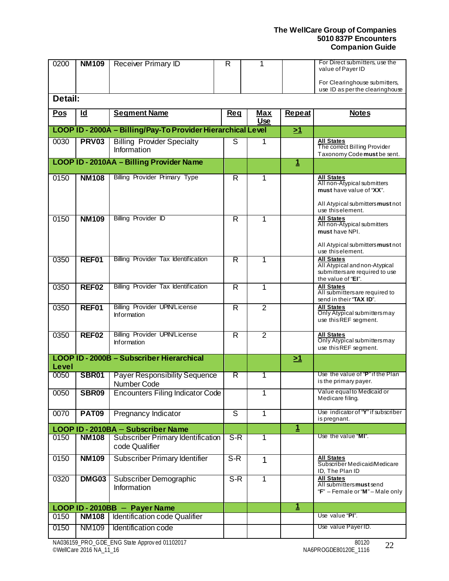| 0200       | <b>NM109</b>      | <b>Receiver Primary ID</b>                                   | $\overline{\mathsf{R}}$ | 1                        |                | For Direct submitters, use the<br>value of Payer ID              |
|------------|-------------------|--------------------------------------------------------------|-------------------------|--------------------------|----------------|------------------------------------------------------------------|
|            |                   |                                                              |                         |                          |                |                                                                  |
|            |                   |                                                              |                         |                          |                | For Clearinghouse submitters,<br>use ID as per the clearinghouse |
| Detail:    |                   |                                                              |                         |                          |                |                                                                  |
| <b>Pos</b> | $\overline{d}$    | <b>Segment Name</b>                                          | <b>Req</b>              | <b>Max</b><br><b>Use</b> | <b>Repeat</b>  | <b>Notes</b>                                                     |
|            |                   | LOOP ID - 2000A - Billing/Pay-To Provider Hierarchical Level |                         |                          | $\geq 1$       |                                                                  |
| 0030       | <b>PRV03</b>      | <b>Billing Provider Specialty</b>                            | S                       | 1                        |                | <b>All States</b>                                                |
|            |                   | Information                                                  |                         |                          |                | The correct Billing Provider<br>Taxonomy Code must be sent.      |
|            |                   | LOOP ID - 2010AA - Billing Provider Name                     |                         |                          | $\mathbf 1$    |                                                                  |
| 0150       | <b>NM108</b>      | <b>Billing Provider Primary Type</b>                         | $\overline{R}$          | 1                        |                | <b>All States</b>                                                |
|            |                   |                                                              |                         |                          |                | All non-Atypical submitters<br>must have value of "XX".          |
|            |                   |                                                              |                         |                          |                |                                                                  |
|            |                   |                                                              |                         |                          |                | All Atypical submitters must not<br>use this element.            |
| 0150       | <b>NM109</b>      | <b>Billing Provider ID</b>                                   | $\overline{R}$          | 1                        |                | <b>All States</b><br>All non-Atypical submitters                 |
|            |                   |                                                              |                         |                          |                | must have NPI.                                                   |
|            |                   |                                                              |                         |                          |                | All Atypical submitters must not                                 |
|            |                   |                                                              |                         |                          |                | use this element.                                                |
| 0350       | REF01             | <b>Billing Provider Tax Identification</b>                   | R                       | 1                        |                | <b>All States</b><br>All Atypical and non-Atypical               |
|            |                   |                                                              |                         |                          |                | submitters are required to use<br>the value of "El".             |
| 0350       | REF <sub>02</sub> | Billing Provider Tax Identification                          | $\overline{R}$          | $\overline{1}$           |                | <b>All States</b>                                                |
|            |                   |                                                              |                         |                          |                | All submitters are required to<br>send in their "TAX ID".        |
| 0350       | REF01             | <b>Billing Provider UPIN/License</b>                         | $\overline{\mathsf{R}}$ | $\overline{2}$           |                | <b>All States</b>                                                |
|            |                   | <b>Information</b>                                           |                         |                          |                | Only Atypical submitters may<br>use this REF segment.            |
|            |                   |                                                              |                         |                          |                |                                                                  |
| 0350       | REF <sub>02</sub> | <b>Billing Provider UPIN/License</b><br><b>Information</b>   | $\overline{R}$          | $\overline{2}$           |                | <b>All States</b><br>Only Atypical submitters may                |
|            |                   |                                                              |                         |                          |                | use this REF segment.                                            |
| Level      |                   | LOOP ID - 2000B - Subscriber Hierarchical                    |                         |                          | <u>&gt;1</u>   |                                                                  |
| 0050       | SBR01             | <b>Payer Responsibility Sequence</b>                         | R                       | 1                        |                | Use the value of "P" if the Plan                                 |
|            |                   | <b>Number Code</b>                                           |                         |                          |                | is the primary payer.                                            |
| 0050       | SBR09             | <b>Encounters Filing Indicator Code</b>                      |                         | 1                        |                | Value equal to Medicaid or<br>Medicare filing.                   |
|            |                   |                                                              |                         |                          |                |                                                                  |
| 0070       | <b>PAT09</b>      | Pregnancy Indicator                                          | ड                       | $\overline{1}$           |                | Use indicator of "Y" if subscriber<br>is pregnant.               |
|            |                   | LOOP ID - 2010BA - Subscriber Name                           |                         |                          | $\overline{1}$ |                                                                  |
| 0150       | <b>NM108</b>      | Subscriber Primary Identification                            | $S-R$                   | 1                        |                | Use the value "MI".                                              |
|            |                   | code Qualifier                                               |                         |                          |                |                                                                  |
| 0150       | <b>NM109</b>      | <b>Subscriber Primary Identifier</b>                         | $S-R$                   | $\mathbf{1}$             |                | <b>All States</b><br>Subscriber Medicaid/Medicare                |
|            |                   |                                                              |                         |                          |                | ID, The Plan ID                                                  |
| 0320       | <b>DMG03</b>      | Subscriber Demographic<br>Information                        | $S-R$                   | 1                        |                | <b>All States</b><br>All submitters must send                    |
|            |                   |                                                              |                         |                          |                | " $F$ " – Female or "M" – Male only                              |
|            |                   | LOOP ID - 2010BB - Payer Name                                |                         |                          | $\mathbf 1$    |                                                                  |
| 0150       | <b>NM108</b>      | <b>Identification code Qualifier</b>                         |                         |                          |                | Use value "PI".                                                  |
| 0150       | <b>NM109</b>      | Identification code                                          |                         |                          |                | Use value Payer ID.                                              |
|            |                   |                                                              |                         |                          |                |                                                                  |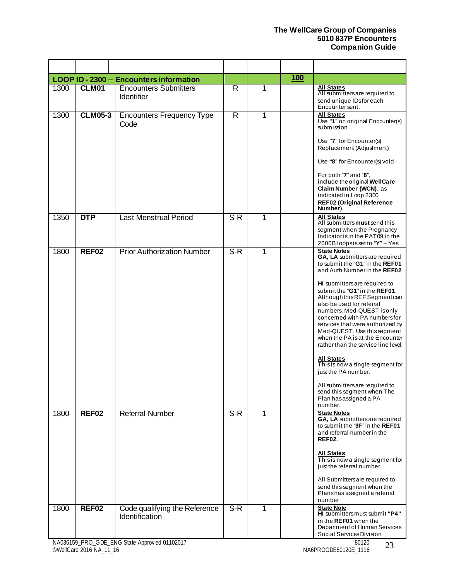|      |                   | LOOP ID - 2300 - Encounters information                |                  |   | <b>100</b> |                                                                                                                                                                                                                                                                                                                                                                                                                                                                                                                                                                                                                                                        |
|------|-------------------|--------------------------------------------------------|------------------|---|------------|--------------------------------------------------------------------------------------------------------------------------------------------------------------------------------------------------------------------------------------------------------------------------------------------------------------------------------------------------------------------------------------------------------------------------------------------------------------------------------------------------------------------------------------------------------------------------------------------------------------------------------------------------------|
| 1300 | <b>CLM01</b>      | <b>Encounters Submitters</b><br><b>Identifier</b>      | R                | 1 |            | <b>All States</b><br>All submitters are required to<br>send unique IDs for each<br>Encounter sent.                                                                                                                                                                                                                                                                                                                                                                                                                                                                                                                                                     |
| 1300 | <b>CLM05-3</b>    | <b>Encounters Frequency Type</b><br>Code               | R                | 1 |            | <b>All States</b><br>Use "1" on original Encounter(s)<br>submission<br>Use "7" for Encounter(s)<br>Replacement (Adjustment)<br>Use "8" for Encounter(s) void<br>For both "7" and "8",<br>include the original WellCare<br>Claim Number (WCN), as<br>indicated in Loop 2300<br><b>REF02 (Original Reference</b><br>Number).                                                                                                                                                                                                                                                                                                                             |
| 1350 | <b>DTP</b>        | <b>Last Menstrual Period</b>                           | $S-R$            | 1 |            | <b>All States</b><br>All submitters must send this<br>segment when the Pregnancy<br>Indicator is in the PAT09 in the<br>2000B loopsisset to "Y" - Yes.                                                                                                                                                                                                                                                                                                                                                                                                                                                                                                 |
| 1800 | REF02             | <b>Prior Authorization Number</b>                      | $\overline{S-R}$ | 1 |            | <b>State Notes</b><br>GA, LA submitters are required<br>to submit the "G1" in the REF01<br>and Auth Number in the REF02.<br>HI submitters are required to<br>submit the "G1" in the REF01.<br>Although this REF Segment can<br>also be used for referral<br>numbers, Med-QUEST isonly<br>concerned with PA numbersfor<br>services that were authorized by<br>Med-QUEST. Use this segment<br>when the PA is at the Encounter<br>rather than the service line level.<br><b>All States</b><br>Thisis now a single segment for<br>just the PA number.<br>All submitters are required to<br>send this segment when The<br>Plan has assigned a PA<br>number. |
| 1800 | REF <sub>02</sub> | <b>Referral Number</b>                                 | $S-R$            | 1 |            | <b>State Notes</b><br>GA, LA submitters are required<br>to submit the "9F" in the REF01<br>and referral number in the<br>REF02.<br><b>All States</b><br>Thisis now a single segment for<br>just the referral number.<br>All Submittersare required to<br>send this segment when the<br>Planshas assigned a referral<br>number                                                                                                                                                                                                                                                                                                                          |
| 1800 | REF <sub>02</sub> | Code qualifying the Reference<br><b>Identification</b> | $S-R$            | 1 |            | <b>State Note</b><br>HI submitters must submit "P4"<br>in the REF01 when the<br>Department of Human Services<br>Social Services Division                                                                                                                                                                                                                                                                                                                                                                                                                                                                                                               |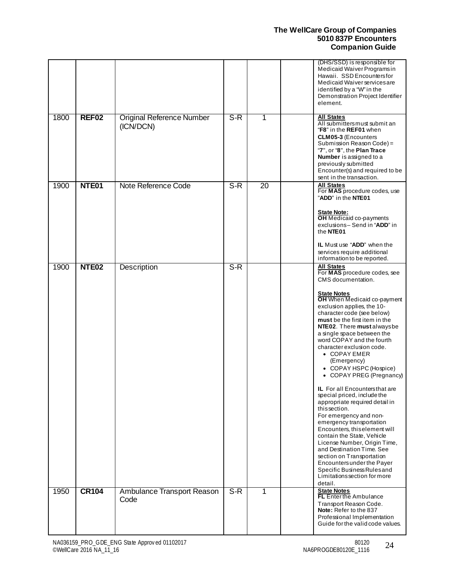|      |                   |                                               |       |                 | (DHS/SSD) is responsible for<br>Medicaid Waiver Programsin<br>Hawaii. SSD Encountersfor<br>Medicaid Waiver services are<br>identified by a "W" in the<br>Demonstration Project Identifier<br>element.                                                                                                                                                                                                                                                                                                                                                                                                                                                                                                                                                                                                                                                                     |
|------|-------------------|-----------------------------------------------|-------|-----------------|---------------------------------------------------------------------------------------------------------------------------------------------------------------------------------------------------------------------------------------------------------------------------------------------------------------------------------------------------------------------------------------------------------------------------------------------------------------------------------------------------------------------------------------------------------------------------------------------------------------------------------------------------------------------------------------------------------------------------------------------------------------------------------------------------------------------------------------------------------------------------|
| 1800 | <b>REF02</b>      | <b>Original Reference Number</b><br>(ICN/DCN) | $S-R$ | 1               | <b>All States</b><br>All submitters must submit an<br>"F8" in the REF01 when<br><b>CLM05-3 (Encounters</b><br>Submission Reason Code) =<br>"7", or "8", the Plan Trace<br>Number is assigned to a<br>previously submitted<br>Encounter(s) and required to be<br>sent in the transaction.                                                                                                                                                                                                                                                                                                                                                                                                                                                                                                                                                                                  |
| 1900 | NTE01             | Note Reference Code                           | $S-R$ | $\overline{20}$ | <b>All States</b><br>For MAS procedure codes, use<br>"ADD" in the NTE01<br><b>State Note:</b><br><b>OH</b> Medicaid co-payments<br>exclusions-Send in "ADD" in<br>the NTE01<br>IL Must use "ADD" when the<br>services require additional<br>information to be reported.                                                                                                                                                                                                                                                                                                                                                                                                                                                                                                                                                                                                   |
| 1900 | NTE <sub>02</sub> | Description                                   | $S-R$ |                 | All States<br>For MAS procedure codes, see<br>CMS documentation.<br>State Notes<br>OH When Medicaid co-payment<br>exclusion applies, the 10-<br>character code (see below)<br>must be the first item in the<br>NTE02. There must always be<br>a single space between the<br>word COPAY and the fourth<br>character exclusion code.<br>• COPAY EMER<br>(Emergency)<br>• COPAY HSPC (Hospice)<br>• COPAY PREG (Pregnancy)<br><b>IL</b> For all Encounters that are<br>special priced, include the<br>appropriate required detail in<br>this section.<br>For emergency and non-<br>emergency transportation<br>Encounters, this element will<br>contain the State, Vehicle<br>License Number, Origin Time,<br>and Destination Time, See<br>section on Transportation<br>Encounters under the Payer<br>Specific Business Rules and<br>Limitations section for more<br>detail. |
| 1950 | <b>CR104</b>      | Ambulance Transport Reason<br>Code            | $S-R$ | 1               | <b>State Notes</b><br><b>FL</b> Enterthe Ambulance<br>Transport Reason Code.<br>Note: Refer to the 837<br>Professional Implementation<br>Guide for the valid code values.                                                                                                                                                                                                                                                                                                                                                                                                                                                                                                                                                                                                                                                                                                 |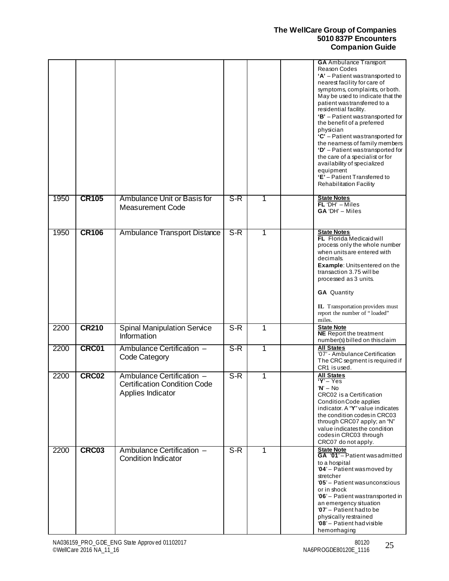|      |              |                                                                                       |                  |   | <b>GA</b> Ambulance Transport<br>Reason Codes<br>'A' - Patient wastransported to<br>nearest facility for care of<br>symptoms, complaints, or both.<br>May be used to indicate that the<br>patient wastransferred to a<br>residential facility.<br>'B' - Patient wastransported for<br>the benefit of a preferred<br>physician<br>$C'$ – Patient wastransported for<br>the nearness of family members<br>'D' - Patient wastransported for<br>the care of a specialist or for<br>availability of specialized<br>equipment<br>'E' - Patient Transferred to<br><b>Rehabilitation Facility</b> |
|------|--------------|---------------------------------------------------------------------------------------|------------------|---|-------------------------------------------------------------------------------------------------------------------------------------------------------------------------------------------------------------------------------------------------------------------------------------------------------------------------------------------------------------------------------------------------------------------------------------------------------------------------------------------------------------------------------------------------------------------------------------------|
| 1950 | <b>CR105</b> | Ambulance Unit or Basis for<br><b>Measurement Code</b>                                | $S-R$            | 1 | <b>State Notes</b><br>$FL'DH' - Miles$<br>GA 'DH' - Miles                                                                                                                                                                                                                                                                                                                                                                                                                                                                                                                                 |
| 1950 | <b>CR106</b> | <b>Ambulance Transport Distance</b>                                                   | S-R              |   | <b>State Notes</b><br>FL Florida Medicaid will<br>process only the whole number<br>when units are entered with<br>decimals.<br><b>Example:</b> Unitsentered on the<br>transaction 3.75 will be<br>processed as 3 units.<br><b>GA</b> Quantity<br>IL Transportation providers must<br>report the number of "loaded"<br>miles.                                                                                                                                                                                                                                                              |
| 2200 | <b>CR210</b> | <b>Spinal Manipulation Service</b><br>Information                                     | $\overline{S-R}$ | 1 | <b>State Note</b><br><b>NE</b> Report the treatment<br>number(s) billed on this claim                                                                                                                                                                                                                                                                                                                                                                                                                                                                                                     |
| 2200 | CRC01        | Ambulance Certification -<br>Code Category                                            | $S-R$            | 1 | <b>All States</b><br>'07' - Ambulance Certification<br>The CRC segment is required if<br>CR1 is used.                                                                                                                                                                                                                                                                                                                                                                                                                                                                                     |
| 2200 | CRC02        | Ambulance Certification -<br><b>Certification Condition Code</b><br>Applies Indicator | $S-R$            | 1 | <b>All States</b><br>$Y - Yes$<br>' <b>N</b> ' — No<br>CRC02 is a Certification<br>Condition Code applies<br>indicator. A "Y" value indicates<br>the condition codes in CRC03<br>through CRC07 apply; an "N"<br>value indicates the condition<br>codesin CRC03 through<br>CRC07 do not apply.                                                                                                                                                                                                                                                                                             |
| 2200 | CRC03        | Ambulance Certification -<br><b>Condition Indicator</b>                               | $S-R$            | 1 | <b>State Note</b><br>GA '01'-Patient wasadmitted<br>to a hospital<br>'04' - Patient was moved by<br>stretcher<br>'05' - Patient was unconscious<br>or in shock<br>'06' - Patient wastransported in<br>an emergency situation<br>'07' - Patient had to be<br>physically restrained<br>'08' - Patient had visible<br>hemorrhaging                                                                                                                                                                                                                                                           |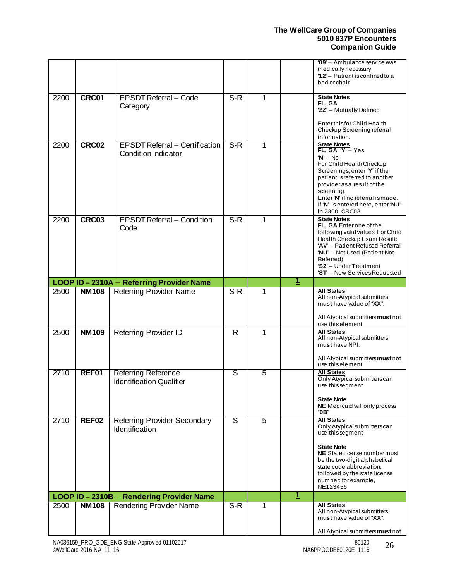|      |                   |                                                                     |                         |   |          | '09' - Ambulance service was<br>medically necessary<br>'12' - Patient is confined to a<br>bed or chair                                                                                                                                                                                    |
|------|-------------------|---------------------------------------------------------------------|-------------------------|---|----------|-------------------------------------------------------------------------------------------------------------------------------------------------------------------------------------------------------------------------------------------------------------------------------------------|
| 2200 | CRC01             | <b>EPSDT Referral - Code</b><br>Category                            | $S-R$                   | 1 |          | <b>State Notes</b><br>FL, GA<br>'ZZ' - Mutually Defined                                                                                                                                                                                                                                   |
|      |                   |                                                                     |                         |   |          | Enter this for Child Health<br>Checkup Screening referral<br>information.                                                                                                                                                                                                                 |
| 2200 | CRC02             | <b>EPSDT Referral - Certification</b><br><b>Condition Indicator</b> | $S-R$                   | 1 |          | <b>State Notes</b><br>FL, GA 'Y' - Yes<br>$W - No$<br>For Child Health Checkup<br>Screenings, enter "Y" if the<br>patient is referred to another<br>provider as a result of the<br>screening.<br>Enter 'N' if no referral ismade.<br>If 'N' is entered here, enter 'NU'<br>in 2300, CRC03 |
| 2200 | CRC03             | <b>EPSDT Referral - Condition</b><br>Code                           | $S-R$                   | 1 |          | <b>State Notes</b><br>FL, GA Enter one of the<br>following valid values. For Child<br>Health Checkup Exam Result:<br>'AV' - Patient Refused Referral<br>'NU' - Not Used (Patient Not<br>Referred)<br>'S2' - Under Treatment<br>'ST - New Services Requested                               |
|      |                   | LOOP ID-2310A - Referring Provider Name                             |                         |   | <u>1</u> |                                                                                                                                                                                                                                                                                           |
| 2500 | <b>NM108</b>      | <b>Referring Provider Name</b>                                      | $S-R$                   | 1 |          | <b>All States</b><br>All non-Atypical submitters<br>must have value of "XX".<br>All Atypical submitters must not<br>use this element                                                                                                                                                      |
| 2500 | <b>NM109</b>      | Referring Provider ID                                               | $\overline{\mathsf{R}}$ | 1 |          | <b>All States</b><br>All non-Atypical submitters<br>must have NPI.<br>All Atypical submitters must not<br>use this element                                                                                                                                                                |
| 2710 | REF01             | <b>Referring Reference</b><br><b>Identification Qualifier</b>       | ड                       | 5 |          | <b>All States</b><br>Only Atypical submitters can<br>use this segment<br><b>State Note</b><br>NE Medicaid will only process<br>"0B"                                                                                                                                                       |
| 2710 | REF <sub>02</sub> | <b>Referring Provider Secondary</b><br>Identification               | ड                       | 5 |          | <b>All States</b><br>Only Atypical submitters can<br>use thissegment<br><b>State Note</b><br><b>NE</b> State license number must<br>be the two-digit alphabetical<br>state code abbreviation,<br>followed by the state license<br>number: for example,<br>NE123456                        |
|      |                   | LOOP ID - 2310B - Rendering Provider Name                           |                         |   | 1        |                                                                                                                                                                                                                                                                                           |
| 2500 | <b>NM108</b>      | <b>Rendering Provider Name</b>                                      | S-R                     |   |          | <b>All States</b>                                                                                                                                                                                                                                                                         |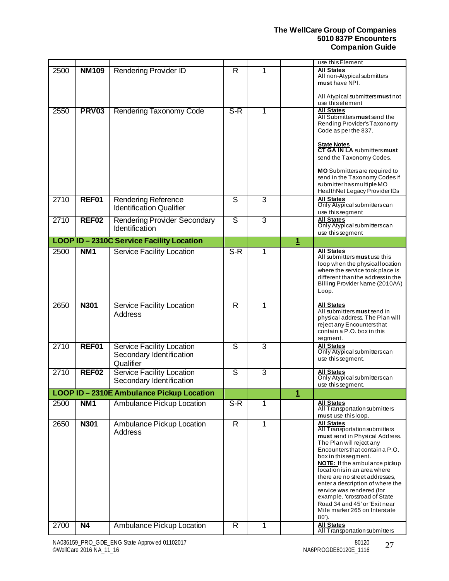|      |                   |                                                                    |                         |                |                | use this Element                                                                                                                                                                                                                                                                                                                                                                                                                                                  |
|------|-------------------|--------------------------------------------------------------------|-------------------------|----------------|----------------|-------------------------------------------------------------------------------------------------------------------------------------------------------------------------------------------------------------------------------------------------------------------------------------------------------------------------------------------------------------------------------------------------------------------------------------------------------------------|
| 2500 | <b>NM109</b>      | <b>Rendering Provider ID</b>                                       | R                       | 1              |                | <b>All States</b><br>All non-Atypical submitters<br>must have NPI.                                                                                                                                                                                                                                                                                                                                                                                                |
|      |                   |                                                                    |                         |                |                | All Atypical submitters must not<br>use this element                                                                                                                                                                                                                                                                                                                                                                                                              |
| 2550 | <b>PRV03</b>      | Rendering Taxonomy Code                                            | $S-R$                   | 1              |                | <b>All States</b><br>All Submitters must send the<br>Rending Provider's Taxonomy<br>Code as per the 837.                                                                                                                                                                                                                                                                                                                                                          |
|      |                   |                                                                    |                         |                |                | <b>State Notes</b><br><b>CT GA IN LA</b> submitters must<br>send the Taxonomy Codes.                                                                                                                                                                                                                                                                                                                                                                              |
|      |                   |                                                                    |                         |                |                | MO Submitters are required to<br>send in the Taxonomy Codesif<br>submitter has multiple MO<br>Health Net Legacy Provider IDs                                                                                                                                                                                                                                                                                                                                      |
| 2710 | REF01             | <b>Rendering Reference</b><br><b>Identification Qualifier</b>      | S                       | $\overline{3}$ |                | <b>All States</b><br>Only Atypical submitters can<br>use thissegment                                                                                                                                                                                                                                                                                                                                                                                              |
| 2710 | REF02             | <b>Rendering Provider Secondary</b><br>Identification              | ड                       | $\overline{3}$ |                | <b>All States</b><br>Only Atypical submitters can<br>use thissegment                                                                                                                                                                                                                                                                                                                                                                                              |
|      |                   | LOOP ID - 2310C Service Facility Location                          |                         |                | $\mathbf{1}$   |                                                                                                                                                                                                                                                                                                                                                                                                                                                                   |
| 2500 | NM <sub>1</sub>   | <b>Service Facility Location</b>                                   | $S-R$                   | 1              |                | <b>All States</b><br>All submitters must use this<br>loop when the physical location<br>where the service took place is<br>different than the address in the<br>Billing Provider Name (2010AA)<br>Loop.                                                                                                                                                                                                                                                           |
| 2650 | <b>N301</b>       | Service Facility Location<br>Address                               | R                       | 1              |                | <b>All States</b><br>All submitters must send in<br>physical address. The Plan will<br>reject any Encounters that<br>contain a P.O. box in this<br>segment.                                                                                                                                                                                                                                                                                                       |
| 2710 | REF01             | Service Facility Location<br>Secondary Identification<br>Qualifier | ड                       | 3              |                | <b>All States</b><br>Only Atypical submitters can<br>use thissegment.                                                                                                                                                                                                                                                                                                                                                                                             |
| 2710 | REF <sub>02</sub> | Service Facility Location<br>Secondary Identification              | S                       | $\overline{3}$ |                | <b>All States</b><br>Only Atypical submitters can<br>use this segment.                                                                                                                                                                                                                                                                                                                                                                                            |
|      |                   | LOOP ID - 2310E Ambulance Pickup Location                          |                         |                | $\overline{1}$ |                                                                                                                                                                                                                                                                                                                                                                                                                                                                   |
| 2500 | NM <sub>1</sub>   | Ambulance Pickup Location                                          | S-R                     | 1              |                | <b>All States</b><br>All Transportation submitters<br>must use thisloop.                                                                                                                                                                                                                                                                                                                                                                                          |
| 2650 | <b>N301</b>       | Ambulance Pickup Location<br>Address                               | $\overline{\mathsf{R}}$ | 1              |                | <b>All States</b><br>All Transportation submitters<br>must send in Physical Address.<br>The Plan will reject any<br>Encountersthat containa P.O.<br>box in this segment.<br><b>NOTE:</b> If the ambulance pickup<br>location is in an area where<br>there are no street addresses.<br>enter a description of where the<br>service was rendered (for<br>example, 'crossroad of State<br>Road 34 and 45' or 'Exit near<br>Mile marker 265 on Interstate<br>$80'$ ). |
| 2700 | <b>N4</b>         | Ambulance Pickup Location                                          | R                       | 1              |                | <b>All States</b><br>All Transportation submitters                                                                                                                                                                                                                                                                                                                                                                                                                |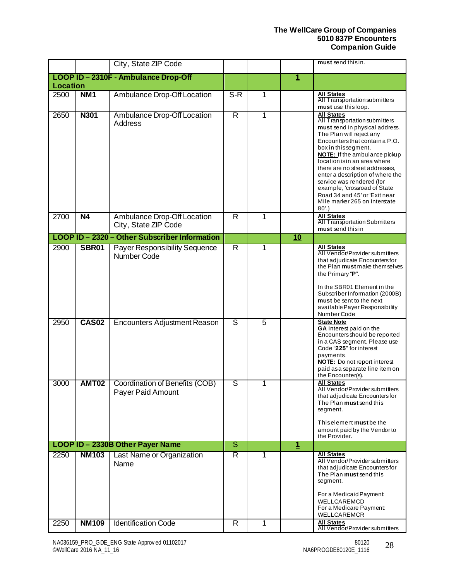|                 |                              | City, State ZIP Code                                                                |                                           |                     |             | must send this in.                                                                                                                                                                                                                                                                                                                                                                                                                                            |
|-----------------|------------------------------|-------------------------------------------------------------------------------------|-------------------------------------------|---------------------|-------------|---------------------------------------------------------------------------------------------------------------------------------------------------------------------------------------------------------------------------------------------------------------------------------------------------------------------------------------------------------------------------------------------------------------------------------------------------------------|
|                 |                              | LOOP ID - 2310F - Ambulance Drop-Off                                                |                                           |                     | $\mathbf 1$ |                                                                                                                                                                                                                                                                                                                                                                                                                                                               |
| <b>Location</b> |                              |                                                                                     |                                           |                     |             |                                                                                                                                                                                                                                                                                                                                                                                                                                                               |
| 2500            | NM <sub>1</sub>              | Ambulance Drop-Off Location                                                         | $\overline{S-R}$                          | 1                   |             | <b>All States</b><br>All Transportation submitters<br>must use thisloop.                                                                                                                                                                                                                                                                                                                                                                                      |
| 2650            | <b>N301</b>                  | Ambulance Drop-Off Location<br><b>Address</b>                                       | $\overline{\mathsf{R}}$                   | 1                   |             | <b>All States</b><br>All Transportation submitters<br>must send in physical address.<br>The Plan will reject any<br>Encountersthat containa P.O.<br>box in this segment.<br><b>NOTE:</b> If the ambulance pickup<br>location is in an area where<br>there are no street addresses,<br>enter a description of where the<br>service was rendered (for<br>example, 'crossroad of State<br>Road 34 and 45' or 'Exit near<br>Mile marker 265 on Interstate<br>80'. |
| 2700            | N4                           | Ambulance Drop-Off Location<br>City, State ZIP Code                                 | $\overline{R}$                            | 1                   |             | <b>All States</b><br><b>All Transportation Submitters</b><br>must send this in                                                                                                                                                                                                                                                                                                                                                                                |
|                 |                              | LOOP ID - 2320 - Other Subscriber Information                                       |                                           |                     | 10          |                                                                                                                                                                                                                                                                                                                                                                                                                                                               |
| 2900<br>2950    | <b>SBR01</b><br><b>CAS02</b> | Payer Responsibility Sequence<br>Number Code<br><b>Encounters Adjustment Reason</b> | $\overline{R}$<br>$\overline{\mathsf{s}}$ | 1<br>$\overline{5}$ |             | <b>All States</b><br>All Vendor/Provider submitters<br>that adjudicate Encountersfor<br>the Plan must make themselves<br>the Primary "P".<br>In the SBR01 Element in the<br>Subscriber Information (2000B)<br>must be sent to the next<br>available Payer Responsibility<br>Number Code<br><b>State Note</b><br>GA Interest paid on the<br>Encounters should be reported                                                                                      |
|                 |                              |                                                                                     |                                           |                     |             | in a CAS segment. Please use<br>Code "225" for interest<br>payments.<br>NOTE: Do not report interest<br>paid as a separate line item on<br>the Encounter(s).                                                                                                                                                                                                                                                                                                  |
| 3000            | AMT02                        | Coordination of Benefits (COB)<br>Payer Paid Amount                                 | s                                         | 1                   |             | <b>All States</b><br>All Vendor/Provider submitters<br>that adjudicate Encountersfor<br>The Plan must send this<br>segment.<br>Thiselement must be the<br>amount paid by the Vendor to<br>the Provider.                                                                                                                                                                                                                                                       |
|                 |                              | LOOP ID - 2330B Other Payer Name                                                    | ङ                                         |                     | $\mathbf 1$ |                                                                                                                                                                                                                                                                                                                                                                                                                                                               |
| 2250            | <b>NM103</b>                 | Last Name or Organization<br>Name                                                   | $\overline{\mathsf{R}}$                   | 1                   |             | <b>All States</b><br>All Vendor/Provider submitters<br>that adjudicate Encountersfor<br>The Plan must send this<br>segment.<br>For a Medicaid Payment:<br>WELLCAREMCD<br>For a Medicare Payment:<br>WELLCAREMCR                                                                                                                                                                                                                                               |
| 2250            | <b>NM109</b>                 | <b>Identification Code</b>                                                          | R                                         | 1                   |             | <b>All States</b><br>All Vendor/Provider submitters                                                                                                                                                                                                                                                                                                                                                                                                           |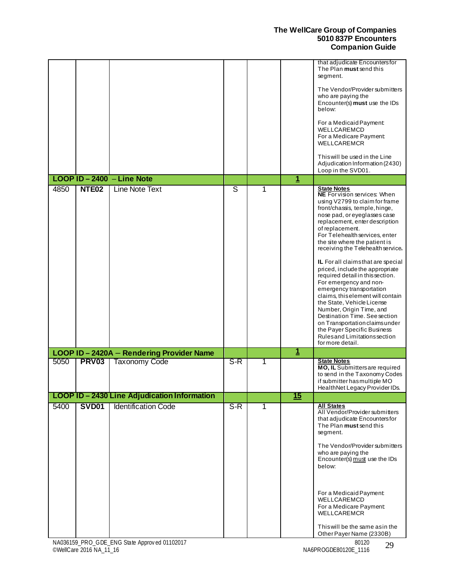|      |                   |                                              |                         |   |                         | that adjudicate Encountersfor<br>The Plan must send this<br>segment.<br>The Vendor/Provider submitters<br>who are paying the<br>Encounter(s) must use the IDs<br>below:<br>For a Medicaid Payment:<br>WELLCAREMCD<br>For a Medicare Payment:<br><b>WELLCAREMCR</b><br>This will be used in the Line<br>Adjudication Information (2430)<br>Loop in the SVD01.                                                                                                                                                                                                                                                                                                                                                                                |
|------|-------------------|----------------------------------------------|-------------------------|---|-------------------------|---------------------------------------------------------------------------------------------------------------------------------------------------------------------------------------------------------------------------------------------------------------------------------------------------------------------------------------------------------------------------------------------------------------------------------------------------------------------------------------------------------------------------------------------------------------------------------------------------------------------------------------------------------------------------------------------------------------------------------------------|
|      |                   | LOOP ID - 2400 - Line Note                   |                         |   | $\mathbf{1}$            |                                                                                                                                                                                                                                                                                                                                                                                                                                                                                                                                                                                                                                                                                                                                             |
| 4850 | NTE <sub>02</sub> | <b>Line Note Text</b>                        | $\overline{\mathsf{s}}$ | 1 |                         | <b>State Notes</b><br>NE For vision services: When<br>using V2799 to claim for frame<br>front/chassis, temple, hinge,<br>nose pad, or eyeglasses case<br>replacement, enter description<br>of replacement.<br>For Telehealth services, enter<br>the site where the patient is<br>receiving the Telehealth service.<br>IL For all claims that are special<br>priced, include the appropriate<br>required detail in this section.<br>For emergency and non-<br>emergency transportation<br>claims, this element will contain<br>the State, Vehicle License<br>Number, Origin Time, and<br>Destination Time. See section<br>on Transportation claims under<br>the Payer Specific Business<br>Rules and Limitations section<br>for more detail. |
|      |                   | LOOP ID-2420A - Rendering Provider Name      |                         |   | $\overline{\mathbf{1}}$ |                                                                                                                                                                                                                                                                                                                                                                                                                                                                                                                                                                                                                                                                                                                                             |
| 5050 | <b>PRV03</b>      | <b>Taxonomy Code</b>                         | $S-R$                   | 1 |                         | <b>State Notes</b><br>MO, IL Submittersare required<br>to send in the Taxonomy Codes<br>if submitter has multiple MO<br>HealthNet Legacy Provider IDs.                                                                                                                                                                                                                                                                                                                                                                                                                                                                                                                                                                                      |
|      |                   | LOOP ID - 2430 Line Adjudication Information |                         |   | 15                      |                                                                                                                                                                                                                                                                                                                                                                                                                                                                                                                                                                                                                                                                                                                                             |
| 5400 | <b>SVD01</b>      | <b>Identification Code</b>                   | $S-R$                   | 1 |                         | <b>All States</b><br>All Vendor/Provider submitters<br>that adjudicate Encountersfor<br>The Plan must send this<br>segment.<br>The Vendor/Provider submitters<br>who are paying the<br>Encounter(s) must use the IDs<br>below:<br>For a Medicaid Payment:<br>WELLCAREMCD<br>For a Medicare Payment:<br><b>WELLCAREMCR</b><br>This will be the same as in the                                                                                                                                                                                                                                                                                                                                                                                |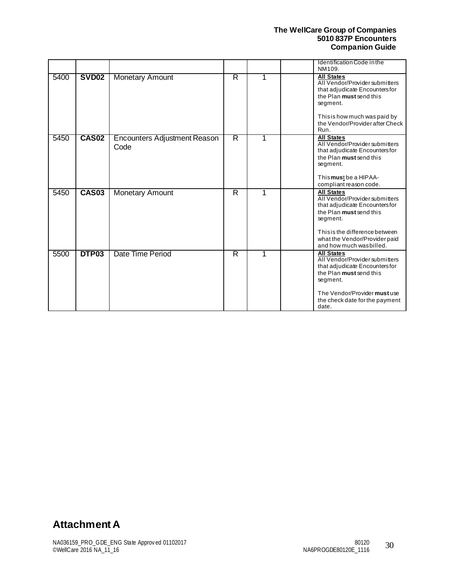|      |              |                                             |   |   | Identification Code in the<br>NM109.                                                                                                                                                                                       |
|------|--------------|---------------------------------------------|---|---|----------------------------------------------------------------------------------------------------------------------------------------------------------------------------------------------------------------------------|
| 5400 | <b>SVD02</b> | <b>Monetary Amount</b>                      | R |   | <b>All States</b><br>All Vendor/Provider submitters<br>that adjudicate Encountersfor<br>the Plan must send this<br>segment.<br>This is how much was paid by<br>the Vendor/Provider after Check<br>Run.                     |
| 5450 | <b>CAS02</b> | <b>Encounters Adjustment Reason</b><br>Code | R |   | <b>All States</b><br>All Vendor/Provider submitters<br>that adjudicate Encountersfor<br>the Plan must send this<br>segment.<br>Thismust be a HIPAA-<br>compliant reason code.                                              |
| 5450 | <b>CAS03</b> | <b>Monetary Amount</b>                      | R | 1 | <b>All States</b><br>All Vendor/Provider submitters<br>that adjudicate Encountersfor<br>the Plan must send this<br>segment.<br>This is the difference between<br>what the Vendor/Provider paid<br>and how much was billed. |
| 5500 | DTP03        | Date Time Period                            | R |   | <b>All States</b><br>All Vendor/Provider submitters<br>that adjudicate Encountersfor<br>the Plan must send this<br>segment.<br>The Vendor/Provider must use<br>the check date for the payment<br>date.                     |

# <span id="page-29-0"></span>**Attachment A**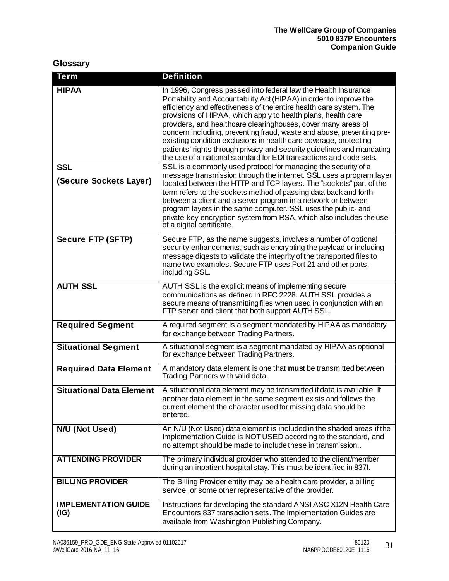## <span id="page-30-0"></span>**Glossary**

| <b>Term</b>                         | <b>Definition</b>                                                                                                                                                                                                                                                                                                                                                                                                                                                                                                                                                                                                                          |
|-------------------------------------|--------------------------------------------------------------------------------------------------------------------------------------------------------------------------------------------------------------------------------------------------------------------------------------------------------------------------------------------------------------------------------------------------------------------------------------------------------------------------------------------------------------------------------------------------------------------------------------------------------------------------------------------|
| <b>HIPAA</b>                        | In 1996, Congress passed into federal law the Health Insurance<br>Portability and Accountability Act (HIPAA) in order to improve the<br>efficiency and effectiveness of the entire health care system. The<br>provisions of HIPAA, which apply to health plans, health care<br>providers, and healthcare clearinghouses, cover many areas of<br>concern including, preventing fraud, waste and abuse, preventing pre-<br>existing condition exclusions in health care coverage, protecting<br>patients' rights through privacy and security guidelines and mandating<br>the use of a national standard for EDI transactions and code sets. |
| <b>SSL</b>                          | SSL is a commonly used protocol for managing the security of a<br>message transmission through the internet. SSL uses a program layer                                                                                                                                                                                                                                                                                                                                                                                                                                                                                                      |
| (Secure Sockets Layer)              | located between the HTTP and TCP layers. The "sockets" part of the<br>term refers to the sockets method of passing data back and forth<br>between a client and a server program in a network or between<br>program layers in the same computer. SSL uses the public- and<br>private-key encryption system from RSA, which also includes the use<br>of a digital certificate.                                                                                                                                                                                                                                                               |
| <b>Secure FTP (SFTP)</b>            | Secure FTP, as the name suggests, involves a number of optional<br>security enhancements, such as encrypting the payload or including<br>message digests to validate the integrity of the transported files to<br>name two examples. Secure FTP uses Port 21 and other ports,<br>including SSL.                                                                                                                                                                                                                                                                                                                                            |
| <b>AUTH SSL</b>                     | AUTH SSL is the explicit means of implementing secure<br>communications as defined in RFC 2228. AUTH SSL provides a<br>secure means of transmitting files when used in conjunction with an<br>FTP server and client that both support AUTH SSL.                                                                                                                                                                                                                                                                                                                                                                                            |
| <b>Required Segment</b>             | A required segment is a segment mandated by HIPAA as mandatory<br>for exchange between Trading Partners.                                                                                                                                                                                                                                                                                                                                                                                                                                                                                                                                   |
| <b>Situational Segment</b>          | A situational segment is a segment mandated by HIPAA as optional<br>for exchange between Trading Partners.                                                                                                                                                                                                                                                                                                                                                                                                                                                                                                                                 |
| <b>Required Data Element</b>        | A mandatory data element is one that must be transmitted between<br>Trading Partners with valid data.                                                                                                                                                                                                                                                                                                                                                                                                                                                                                                                                      |
| <b>Situational Data Element</b>     | A situational data element may be transmitted if data is available. If<br>another data element in the same segment exists and follows the<br>current element the character used for missing data should be<br>entered.                                                                                                                                                                                                                                                                                                                                                                                                                     |
| N/U (Not Used)                      | An N/U (Not Used) data element is included in the shaded areas if the<br>Implementation Guide is NOT USED according to the standard, and<br>no attempt should be made to include these in transmission                                                                                                                                                                                                                                                                                                                                                                                                                                     |
| <b>ATTENDING PROVIDER</b>           | The primary individual provider who attended to the client/member<br>during an inpatient hospital stay. This must be identified in 837I.                                                                                                                                                                                                                                                                                                                                                                                                                                                                                                   |
| <b>BILLING PROVIDER</b>             | The Billing Provider entity may be a health care provider, a billing<br>service, or some other representative of the provider.                                                                                                                                                                                                                                                                                                                                                                                                                                                                                                             |
| <b>IMPLEMENTATION GUIDE</b><br>(IG) | Instructions for developing the standard ANSI ASC X12N Health Care<br>Encounters 837 transaction sets. The Implementation Guides are<br>available from Washington Publishing Company.                                                                                                                                                                                                                                                                                                                                                                                                                                                      |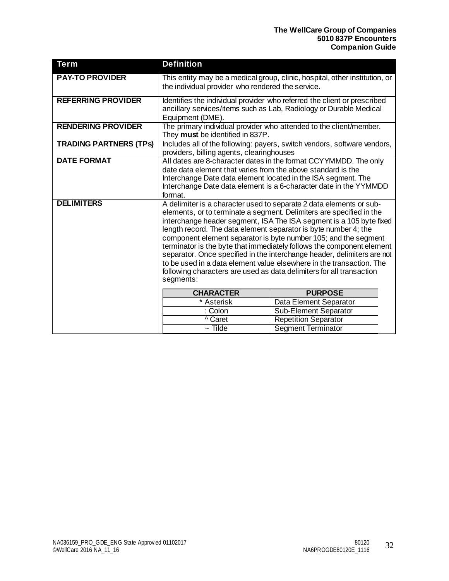| <b>Term</b>                   | <b>Definition</b>                                                                                                                                                                                                                                                                                                                                                                                                                                                                                                                                                                                                                                                         |                                                                    |  |  |  |
|-------------------------------|---------------------------------------------------------------------------------------------------------------------------------------------------------------------------------------------------------------------------------------------------------------------------------------------------------------------------------------------------------------------------------------------------------------------------------------------------------------------------------------------------------------------------------------------------------------------------------------------------------------------------------------------------------------------------|--------------------------------------------------------------------|--|--|--|
| <b>PAY-TO PROVIDER</b>        | This entity may be a medical group, clinic, hospital, other institution, or<br>the individual provider who rendered the service.                                                                                                                                                                                                                                                                                                                                                                                                                                                                                                                                          |                                                                    |  |  |  |
| <b>REFERRING PROVIDER</b>     | Identifies the individual provider who referred the client or prescribed<br>ancillary services/items such as Lab, Radiology or Durable Medical<br>Equipment (DME).                                                                                                                                                                                                                                                                                                                                                                                                                                                                                                        |                                                                    |  |  |  |
| <b>RENDERING PROVIDER</b>     | They must be identified in 837P.                                                                                                                                                                                                                                                                                                                                                                                                                                                                                                                                                                                                                                          | The primary individual provider who attended to the client/member. |  |  |  |
| <b>TRADING PARTNERS (TPS)</b> | Includes all of the following: payers, switch vendors, software vendors,<br>providers, billing agents, clearinghouses                                                                                                                                                                                                                                                                                                                                                                                                                                                                                                                                                     |                                                                    |  |  |  |
| <b>DATE FORMAT</b>            | All dates are 8-character dates in the format CCYYMMDD. The only<br>date data element that varies from the above standard is the<br>Interchange Date data element located in the ISA segment. The<br>Interchange Date data element is a 6-character date in the YYMMDD<br>format.                                                                                                                                                                                                                                                                                                                                                                                         |                                                                    |  |  |  |
| <b>DELIMITERS</b>             | A delimiter is a character used to separate 2 data elements or sub-<br>elements, or to terminate a segment. Delimiters are specified in the<br>interchange header segment, ISA The ISA segment is a 105 byte fixed<br>length record. The data element separator is byte number 4; the<br>component element separator is byte number 105; and the segment<br>terminator is the byte that immediately follows the component element<br>separator. Once specified in the interchange header, delimiters are not<br>to be used in a data element value elsewhere in the transaction. The<br>following characters are used as data delimiters for all transaction<br>segments: |                                                                    |  |  |  |
|                               | <b>CHARACTER</b><br><b>PURPOSE</b>                                                                                                                                                                                                                                                                                                                                                                                                                                                                                                                                                                                                                                        |                                                                    |  |  |  |
|                               | * Asterisk<br>: Colon                                                                                                                                                                                                                                                                                                                                                                                                                                                                                                                                                                                                                                                     | Data Element Separator<br>Sub-Element Separator                    |  |  |  |
|                               | ^ Caret                                                                                                                                                                                                                                                                                                                                                                                                                                                                                                                                                                                                                                                                   | <b>Repetition Separator</b>                                        |  |  |  |
|                               | $\sim$ Tilde                                                                                                                                                                                                                                                                                                                                                                                                                                                                                                                                                                                                                                                              | <b>Segment Terminator</b>                                          |  |  |  |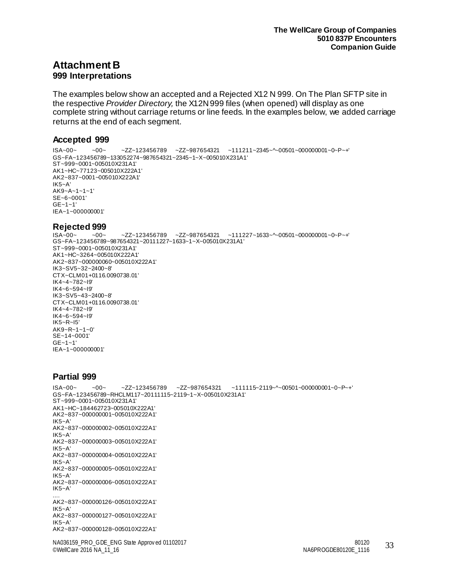## <span id="page-32-1"></span><span id="page-32-0"></span>**Attachment B 999 Interpretations**

The examples below show an accepted and a Rejected X12 N 999. On The Plan SFTP site in the respective *Provider Directory,* the X12N 999 files (when opened) will display as one complete string without carriage returns or line feeds. In the examples below, we added carriage returns at the end of each segment.

#### <span id="page-32-2"></span>**Accepted 999**

ISA~00~ ~00~ ~ZZ~123456789 ~ZZ~987654321 ~111211~2345~^~00501~000000001~0~P~+' GS~FA~123456789~133052274~987654321~2345~1~X~005010X231A1' ST~999~0001~005010X231A1' AK1~HC~77123~005010X222A1' AK2~837~0001~005010X222A1' IK5~A' AK9~A~1~1~1' SE~6~0001'  $GF - 1 - 1'$ IEA~1~000000001'

# <span id="page-32-3"></span>**Rejected 999**

 $-ZZ~123456789$   $-ZZ~987654321$   $~111227~1633~$  ~ 00501 ~ 000000001 ~ 0 ~ P ~ + ' GS~FA~123456789~987654321~20111227~1633~1~X~005010X231A1' ST~999~0001~005010X231A1' AK1~HC~3264~005010X222A1' AK2~837~000000060~005010X222A1' IK3~SV5~32~2400~8' CTX~CLM01+0116.0090738.01' IK4~4~782~I9' IK4~6~594~I9' IK3~SV5~43~2400~8' CTX~CLM01+0116.0090738.01' IK4~4~782~I9' IK4~6~594~I9' IK5~R~I5' AK9~R~1~1~0' SE~14~0001' GE~1~1' IEA~1~000000001'

#### <span id="page-32-4"></span>**Partial 999**

NA036159\_PRO\_GDE\_ENG State Approv ed 01102017 80120 ©WellCare 2016 NA\_11\_16 NA6PROGDE80120E\_1116 33 ISA~00~ ~00~ ~ZZ~123456789 ~ZZ~987654321 ~111115~2119~^~00501~000000001~0~P~+' GS~FA~123456789~RHCLM117~20111115~2119~1~X~005010X231A1' ST~999~0001~005010X231A1' AK1~HC~184462723~005010X222A1' AK2~837~000000001~005010X222A1' IK5~A' AK2~837~000000002~005010X222A1' IK5~A' AK2~837~000000003~005010X222A1' IK5~A' AK2~837~000000004~005010X222A1' IK5~A' AK2~837~000000005~005010X222A1'  $IK5 - A'$ AK2~837~000000006~005010X222A1' IK5~A' .... AK2~837~000000126~005010X222A1' IK5~A' AK2~837~000000127~005010X222A1' IK5~A' AK2~837~000000128~005010X222A1'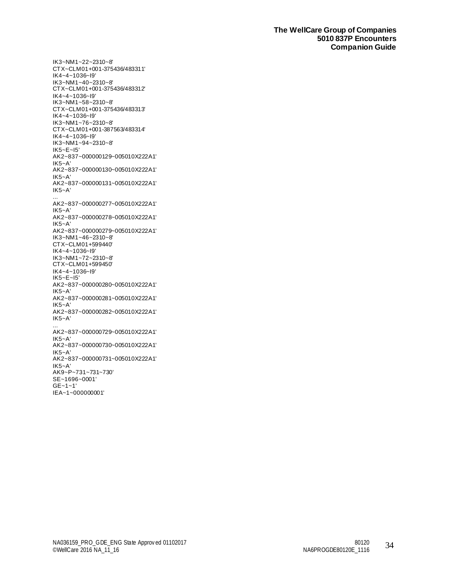IK3~NM1~22~2310~8' CTX~CLM01+001-375436/483311' IK4~4~1036~I9' IK3~NM1~40~2310~8' CTX~CLM01+001-375436/483312' IK4~4~1036~I9' IK3~NM1~58~2310~8' CTX~CLM01+001-375436/483313' IK4~4~1036~I9' IK3~NM1~76~2310~8' CTX~CLM01+001-387563/483314' IK4~4~1036~I9' IK3~NM1~94~2310~8' IK5~E~I5' AK2~837~000000129~005010X222A1' IK5~A' AK2~837~000000130~005010X222A1' IK5~A' AK2~837~000000131~005010X222A1' IK5~A' ... AK2~837~000000277~005010X222A1' IK5~A' AK2~837~000000278~005010X222A1' IK5~A' AK2~837~000000279~005010X222A1' IK3~NM1~46~2310~8' CTX~CLM01+599440' IK4~4~1036~I9' IK3~NM1~72~2310~8' CTX~CLM01+599450' IK4~4~1036~I9' IK5~E~I5' AK2~837~000000280~005010X222A1' IK5~A' AK2~837~000000281~005010X222A1' IK5~A' AK2~837~000000282~005010X222A1' IK5~A' ... AK2~837~000000729~005010X222A1' IK5~A' AK2~837~000000730~005010X222A1' IK5~A' AK2~837~000000731~005010X222A1' IK5~A' AK9~P~731~731~730' SE~1696~0001' GE~1~1' IEA~1~000000001'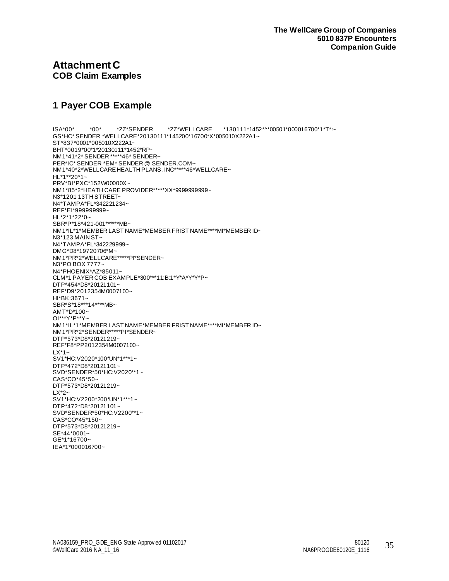## <span id="page-34-1"></span><span id="page-34-0"></span>**Attachment C COB Claim Examples**

# <span id="page-34-2"></span>**1 Payer COB Example**

ISA\*00\* \*00\* \*ZZ\*SENDER \*ZZ\*WELLCARE \*130111\*1452\*^\*00501\*000016700\*1\*T\*:~ GS\*HC\* SENDER \*WELLCARE\*20130111\*145200\*16700\*X\*005010X222A1~ ST\*837\*0001\*005010X222A1~ BHT\*0019\*00\*1\*20130111\*1452\*RP~ NM1\*41\*2\* SENDER \*\*\*\*\*46\* SENDER~ PER\*IC\* SENDER \*EM\* SENDER @ SENDER.COM~ NM1\*40\*2\*WELLCARE HEALTH PLANS, INC\*\*\*\*\*46\*WELLCARE~ HL\*1\*\*20\*1~ PRV\*BI\*PXC\*152W00000X~ NM1\*85\*2\*HEATH CARE PROVIDER\*\*\*\*\*XX\*9999999999~ N3\*1201 13TH STREET~ N4\*TAMPA\*FL\*342221234~ REF\*EI\*999999999~ HL\*2\*1\*22\*0~ SBR\*P\*18\*421-001\*\*\*\*\*\*MB~ NM1\*IL\*1\*MEMBER LAST NAME\*MEMBER FRIST NAME\*\*\*\*MI\*MEMBER ID~ N3\*123 MAIN ST~ N4\*TAMPA\*FL\*342229999~ DMG\*D8\*19720706\*M~ NM1\*PR\*2\*WELLCARE\*\*\*\*\*PI\*SENDER~ N3\*PO BOX 7777~ N4\*PHOENIX\*AZ\*85011~ CLM\*1 PAYER COB EXAMPLE\*300\*\*\*11:B:1\*Y\*A\*Y\*Y\*P~ DTP\*454\*D8\*20121101~ REF\*D9\*2012354M0007100~ HI\*BK:3671~ SBR\*S\*18\*\*\*14\*\*\*\*MB~ AMT\*D\*100~ OI\*\*\*Y\*P\*\*Y~ NM1\*IL\*1\*MEMBER LAST NAME\*MEMBER FRIST NAME\*\*\*\*MI\*MEMBER ID~ NM1\*PR\*2\*SENDER\*\*\*\*\*PI\*SENDER~ DTP\*573\*D8\*20121219~ REF\*F8\*PP2012354M0007100~  $LX^*1$ ~ SV1\*HC:V2020\*100\*UN\*1\*\*\*1~ DTP\*472\*D8\*20121101~ SVD\*SENDER\*50\*HC:V2020\*\*1~ CAS\*CO\*45\*50~ DTP\*573\*D8\*20121219~ LX\*2~ SV1\*HC:V2200\*200\*UN\*1\*\*\*1~ DTP\*472\*D8\*20121101~ SVD\*SENDER\*50\*HC:V2200\*\*1~ CAS\*CO\*45\*150~ DTP\*573\*D8\*20121219~ SE\*44\*0001~ GE\*1\*16700~ IEA\*1\*000016700~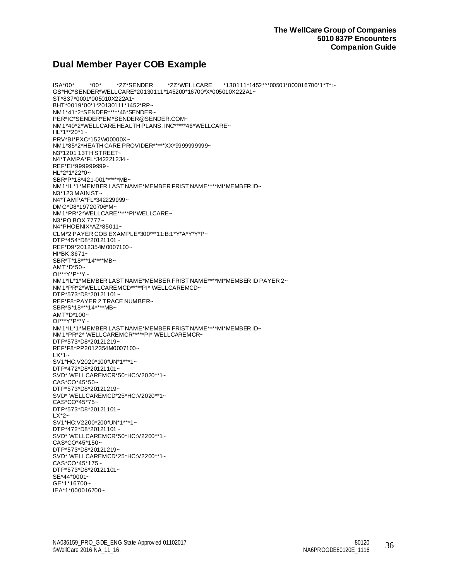## <span id="page-35-0"></span>**Dual Member Payer COB Example**

ISA\*00\* \*00\* \*ZZ\*SENDER \*ZZ\*WELLCARE \*130111\*1452\*^\*00501\*000016700\*1\*T\*:~ GS\*HC\*SENDER\*WELLCARE\*20130111\*145200\*16700\*X\*005010X222A1~ ST\*837\*0001\*005010X222A1~ BHT\*0019\*00\*1\*20130111\*1452\*RP~ NM1\*41\*2\*SENDER\*\*\*\*\*46\*SENDER~ PER\*IC\*SENDER\*EM\*SENDER@SENDER.COM~ NM1\*40\*2\*WELLCARE HEALTH PLANS, INC\*\*\*\*\*46\*WELLCARE~ HL\*1\*\*20\*1~ PRV\*BI\*PXC\*152W00000X~ NM1\*85\*2\*HEATH CARE PROVIDER\*\*\*\*\*XX\*9999999999~ N3\*1201 13TH STREET~ N4\*TAMPA\*FL\*342221234~ REF\*EI\*999999999~ HL\*2\*1\*22\*0~ SBR\*P\*18\*421-001\*\*\*\*\*\*MB~ NM1\*IL\*1\*MEMBER LAST NAME\*MEMBER FRIST NAME\*\*\*\*MI\*MEMBER ID~ N3\*123 MAIN ST~ N4\*TAMPA\*FL\*342229999~ DMG\*D8\*19720706\*M~ NM1\*PR\*2\*WELLCARE\*\*\*\*\*PI\*WELLCARE~ N3\*PO BOX 7777~ N4\*PHOENIX\*AZ\*85011~ CLM\*2 PAYER COB EXAMPLE\*300\*\*\*11:B:1\*Y\*A\*Y\*Y\*P~ DTP\*454\*D8\*20121101~ REF\*D9\*2012354M0007100~ HI\*BK:3671~ SBR\*T\*18\*\*\*14\*\*\*\*MB~ AMT\*D\*50~ OI\*\*\*Y\*P\*\*Y~ NM1\*IL\*1\*MEMBER LAST NAME\*MEMBER FRIST NAME\*\*\*\*MI\*MEMBER ID PAYER 2~ NM1\*PR\*2\*WELLCAREMCD\*\*\*\*\*PI\* WELLCAREMCD~ DTP\*573\*D8\*20121101~ REF\*F8\*PAYER 2 TRACE NUMBER~ SBR\*S\*18\*\*\*14\*\*\*\*MB~ AMT\*D\*100~ OI\*\*\*Y\*P\*\*Y~ NM1\*IL\*1\*MEMBER LAST NAME\*MEMBER FRIST NAME\*\*\*\*MI\*MEMBER ID~ NM1\*PR\*2\* WELLCAREMCR\*\*\*\*\*PI\* WELLCAREMCR~ DTP\*573\*D8\*20121219~ REF\*F8\*PP2012354M0007100~  $LX^*1$ SV1\*HC:V2020\*100\*UN\*1\*\*\*1~ DTP\*472\*D8\*20121101~ SVD\* WELLCAREMCR\*50\*HC:V2020\*\*1~ CAS\*CO\*45\*50~ DTP\*573\*D8\*20121219~ SVD\* WELLCAREMCD\*25\*HC:V2020\*\*1~ CAS\*CO\*45\*75~ DTP\*573\*D8\*20121101~  $1 \times 2$ ~ SV1\*HC:V2200\*200\*UN\*1\*\*\*1~ DTP\*472\*D8\*20121101~ SVD\* WELLCAREMCR\*50\*HC:V2200\*\*1~ CAS\*CO\*45\*150~ DTP\*573\*D8\*20121219~ SVD\* WELLCAREMCD\*25\*HC:V2200\*\*1~ CAS\*CO\*45\*175~ DTP\*573\*D8\*20121101~ SE\*44\*0001~ GE\*1\*16700~ IEA\*1\*000016700~